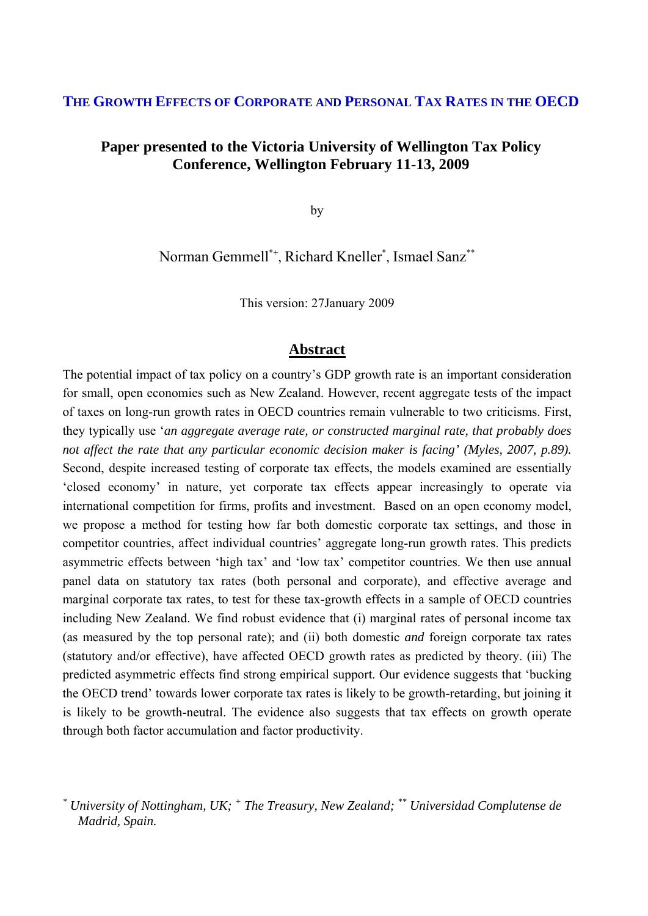# **THE GROWTH EFFECTS OF CORPORATE AND PERSONAL TAX RATES IN THE OECD**

# **Paper presented to the Victoria University of Wellington Tax Policy Conference, Wellington February 11-13, 2009**

by

Norman Gemmell\*<sup>+</sup>, Richard Kneller<sup>\*</sup>, Ismael Sanz<sup>\*\*</sup>

This version: 27January 2009

# **Abstract**

The potential impact of tax policy on a country's GDP growth rate is an important consideration for small, open economies such as New Zealand. However, recent aggregate tests of the impact of taxes on long-run growth rates in OECD countries remain vulnerable to two criticisms. First, they typically use '*an aggregate average rate, or constructed marginal rate, that probably does not affect the rate that any particular economic decision maker is facing' (Myles, 2007, p.89).* Second, despite increased testing of corporate tax effects, the models examined are essentially 'closed economy' in nature, yet corporate tax effects appear increasingly to operate via international competition for firms, profits and investment. Based on an open economy model, we propose a method for testing how far both domestic corporate tax settings, and those in competitor countries, affect individual countries' aggregate long-run growth rates. This predicts asymmetric effects between 'high tax' and 'low tax' competitor countries. We then use annual panel data on statutory tax rates (both personal and corporate), and effective average and marginal corporate tax rates, to test for these tax-growth effects in a sample of OECD countries including New Zealand. We find robust evidence that (i) marginal rates of personal income tax (as measured by the top personal rate); and (ii) both domestic *and* foreign corporate tax rates (statutory and/or effective), have affected OECD growth rates as predicted by theory. (iii) The predicted asymmetric effects find strong empirical support. Our evidence suggests that 'bucking the OECD trend' towards lower corporate tax rates is likely to be growth-retarding, but joining it is likely to be growth-neutral. The evidence also suggests that tax effects on growth operate through both factor accumulation and factor productivity.

*<sup>\*</sup> University of Nottingham, UK; <sup>+</sup> The Treasury, New Zealand; \*\* Universidad Complutense de Madrid, Spain.*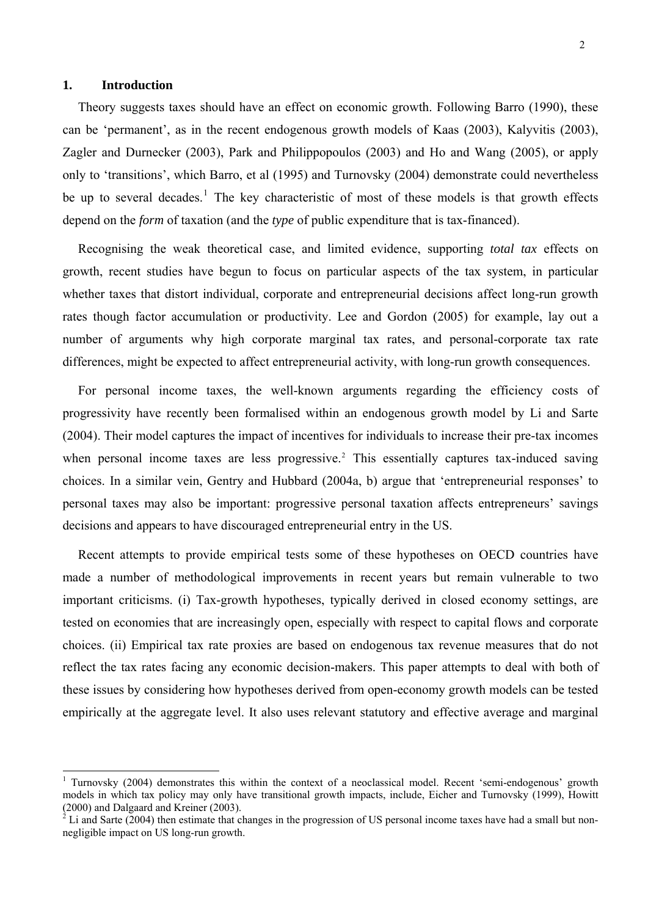### **1. Introduction**

 $\overline{a}$ 

Theory suggests taxes should have an effect on economic growth. Following Barro (1990), these can be 'permanent', as in the recent endogenous growth models of Kaas (2003), Kalyvitis (2003), Zagler and Durnecker (2003), Park and Philippopoulos (2003) and Ho and Wang (2005), or apply only to 'transitions', which Barro, et al (1995) and Turnovsky (2004) demonstrate could nevertheless be up to several decades.<sup>[1](#page-1-0)</sup> The key characteristic of most of these models is that growth effects depend on the *form* of taxation (and the *type* of public expenditure that is tax-financed).

Recognising the weak theoretical case, and limited evidence, supporting *total tax* effects on growth, recent studies have begun to focus on particular aspects of the tax system, in particular whether taxes that distort individual, corporate and entrepreneurial decisions affect long-run growth rates though factor accumulation or productivity. Lee and Gordon (2005) for example, lay out a number of arguments why high corporate marginal tax rates, and personal-corporate tax rate differences, might be expected to affect entrepreneurial activity, with long-run growth consequences.

For personal income taxes, the well-known arguments regarding the efficiency costs of progressivity have recently been formalised within an endogenous growth model by Li and Sarte (2004). Their model captures the impact of incentives for individuals to increase their pre-tax incomes when personal income taxes are less progressive.<sup>[2](#page-1-1)</sup> This essentially captures tax-induced saving choices. In a similar vein, Gentry and Hubbard (2004a, b) argue that 'entrepreneurial responses' to personal taxes may also be important: progressive personal taxation affects entrepreneurs' savings decisions and appears to have discouraged entrepreneurial entry in the US.

Recent attempts to provide empirical tests some of these hypotheses on OECD countries have made a number of methodological improvements in recent years but remain vulnerable to two important criticisms. (i) Tax-growth hypotheses, typically derived in closed economy settings, are tested on economies that are increasingly open, especially with respect to capital flows and corporate choices. (ii) Empirical tax rate proxies are based on endogenous tax revenue measures that do not reflect the tax rates facing any economic decision-makers. This paper attempts to deal with both of these issues by considering how hypotheses derived from open-economy growth models can be tested empirically at the aggregate level. It also uses relevant statutory and effective average and marginal

<sup>&</sup>lt;sup>1</sup> Turnovsky (2004) demonstrates this within the context of a neoclassical model. Recent 'semi-endogenous' growth models in which tax policy may only have transitional growth impacts, include, Eicher and Turnovsky (1999), Howitt (2000) and Dalgaard and Kreiner (2003).

<span id="page-1-1"></span><span id="page-1-0"></span> $2^2$  Li and Sarte (2004) then estimate that changes in the progression of US personal income taxes have had a small but nonnegligible impact on US long-run growth.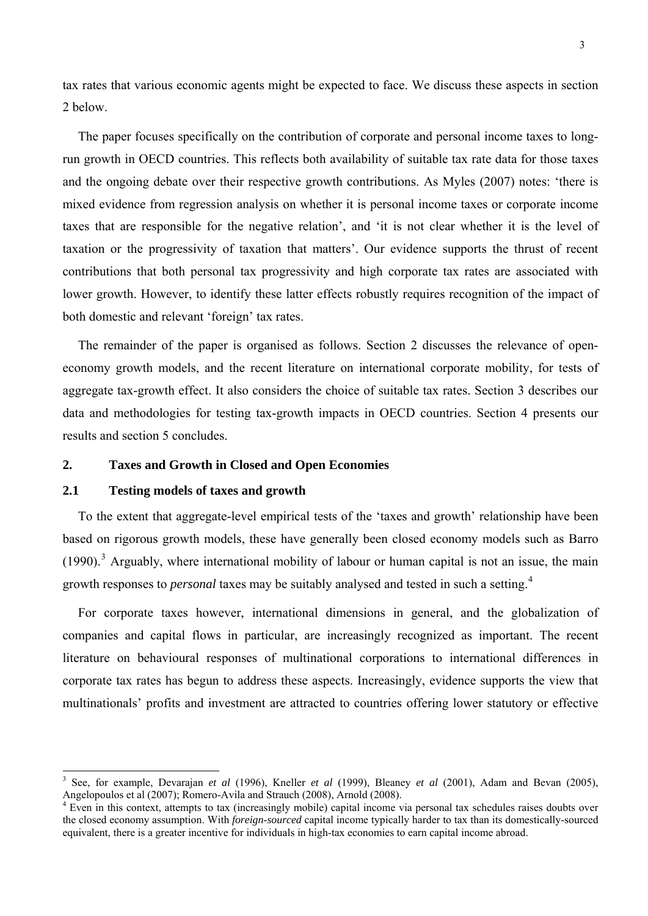tax rates that various economic agents might be expected to face. We discuss these aspects in section 2 below.

The paper focuses specifically on the contribution of corporate and personal income taxes to longrun growth in OECD countries. This reflects both availability of suitable tax rate data for those taxes and the ongoing debate over their respective growth contributions. As Myles (2007) notes: 'there is mixed evidence from regression analysis on whether it is personal income taxes or corporate income taxes that are responsible for the negative relation', and 'it is not clear whether it is the level of taxation or the progressivity of taxation that matters'. Our evidence supports the thrust of recent contributions that both personal tax progressivity and high corporate tax rates are associated with lower growth. However, to identify these latter effects robustly requires recognition of the impact of both domestic and relevant 'foreign' tax rates.

The remainder of the paper is organised as follows. Section 2 discusses the relevance of openeconomy growth models, and the recent literature on international corporate mobility, for tests of aggregate tax-growth effect. It also considers the choice of suitable tax rates. Section 3 describes our data and methodologies for testing tax-growth impacts in OECD countries. Section 4 presents our results and section 5 concludes.

### **2. Taxes and Growth in Closed and Open Economies**

#### **2.1 Testing models of taxes and growth**

 $\overline{a}$ 

To the extent that aggregate-level empirical tests of the 'taxes and growth' relationship have been based on rigorous growth models, these have generally been closed economy models such as Barro  $(1990).$ <sup>[3](#page-2-0)</sup> Arguably, where international mobility of labour or human capital is not an issue, the main growth responses to *personal* taxes may be suitably analysed and tested in such a setting.[4](#page-2-1)

For corporate taxes however, international dimensions in general, and the globalization of companies and capital flows in particular, are increasingly recognized as important. The recent literature on behavioural responses of multinational corporations to international differences in corporate tax rates has begun to address these aspects. Increasingly, evidence supports the view that multinationals' profits and investment are attracted to countries offering lower statutory or effective

<span id="page-2-0"></span><sup>3</sup> See, for example, Devarajan *et al* (1996), Kneller *et al* (1999), Bleaney *et al* (2001), Adam and Bevan (2005), Angelopoulos et al (2007); Romero-Avila and Strauch (2008), Arnold (2008).

<span id="page-2-1"></span><sup>&</sup>lt;sup>4</sup> Even in this context, attempts to tax (increasingly mobile) capital income via personal tax schedules raises doubts over the closed economy assumption. With *foreign-sourced* capital income typically harder to tax than its domestically-sourced equivalent, there is a greater incentive for individuals in high-tax economies to earn capital income abroad.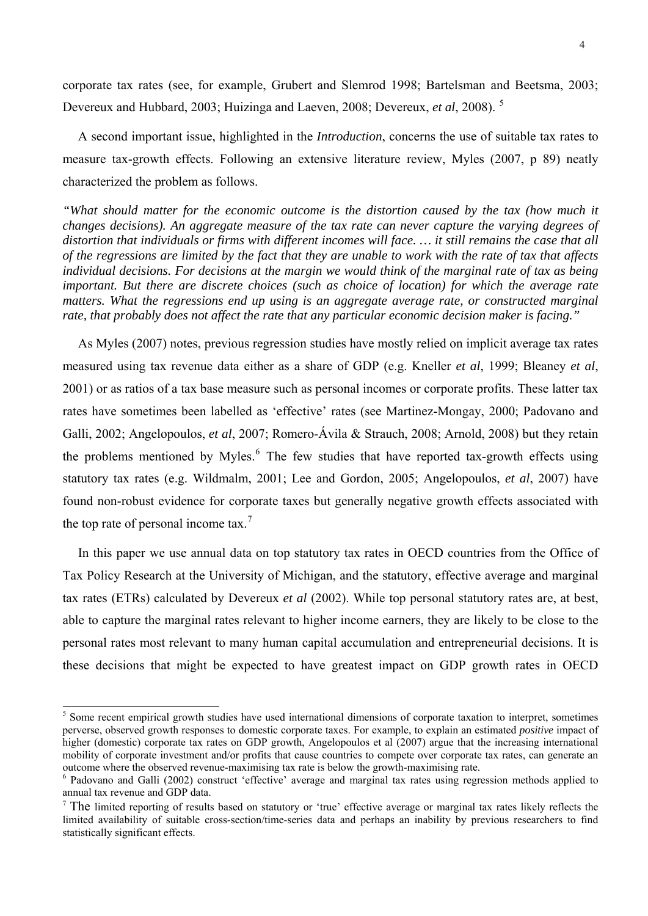<span id="page-3-0"></span>corporate tax rates (see, for example, Grubert and Slemrod 1998; Bartelsman and Beetsma, 2003; Devereux and Hubbard, 2003; Huizinga and Laeven, 2008; Devereux, *et al*, 2008). [5](#page-3-0)

A second important issue, highlighted in the *Introduction*, concerns the use of suitable tax rates to measure tax-growth effects. Following an extensive literature review, Myles (2007, p 89) neatly characterized the problem as follows.

*"What should matter for the economic outcome is the distortion caused by the tax (how much it changes decisions). An aggregate measure of the tax rate can never capture the varying degrees of distortion that individuals or firms with different incomes will face. … it still remains the case that all of the regressions are limited by the fact that they are unable to work with the rate of tax that affects individual decisions. For decisions at the margin we would think of the marginal rate of tax as being important. But there are discrete choices (such as choice of location) for which the average rate*  matters. What the regressions end up using is an aggregate average rate, or constructed marginal *rate, that probably does not affect the rate that any particular economic decision maker is facing."*

As Myles (2007) notes, previous regression studies have mostly relied on implicit average tax rates measured using tax revenue data either as a share of GDP (e.g. Kneller *et al*, 1999; Bleaney *et al*, 2001) or as ratios of a tax base measure such as personal incomes or corporate profits. These latter tax rates have sometimes been labelled as 'effective' rates (see Martinez-Mongay, 2000; Padovano and Galli, 2002; Angelopoulos, *et al*, 2007; Romero-Ávila & Strauch, 2008; Arnold, 2008) but they retain the problems mentioned by Myles. $<sup>6</sup>$  $<sup>6</sup>$  $<sup>6</sup>$  The few studies that have reported tax-growth effects using</sup> statutory tax rates (e.g. Wildmalm, 2001; Lee and Gordon, 2005; Angelopoulos, *et al*, 2007) have found non-robust evidence for corporate taxes but generally negative growth effects associated with the top rate of personal income tax.<sup>[7](#page-3-0)</sup>

In this paper we use annual data on top statutory tax rates in OECD countries from the Office of Tax Policy Research at the University of Michigan, and the statutory, effective average and marginal tax rates (ETRs) calculated by Devereux *et al* (2002). While top personal statutory rates are, at best, able to capture the marginal rates relevant to higher income earners, they are likely to be close to the personal rates most relevant to many human capital accumulation and entrepreneurial decisions. It is these decisions that might be expected to have greatest impact on GDP growth rates in OECD

<sup>&</sup>lt;sup>5</sup> Some recent empirical growth studies have used international dimensions of corporate taxation to interpret, sometimes perverse, observed growth responses to domestic corporate taxes. For example, to explain an estimated *positive* impact of higher (domestic) corporate tax rates on GDP growth, Angelopoulos et al (2007) argue that the increasing international mobility of corporate investment and/or profits that cause countries to compete over corporate tax rates, can generate an outcome where the observed revenue-maximising tax rate is below the growth-maximising rate.

<sup>&</sup>lt;sup>6</sup> Padovano and Galli (2002) construct 'effective' average and marginal tax rates using regression methods applied to annual tax revenue and GDP data.

 $7$  The limited reporting of results based on statutory or 'true' effective average or marginal tax rates likely reflects the limited availability of suitable cross-section/time-series data and perhaps an inability by previous researchers to find statistically significant effects.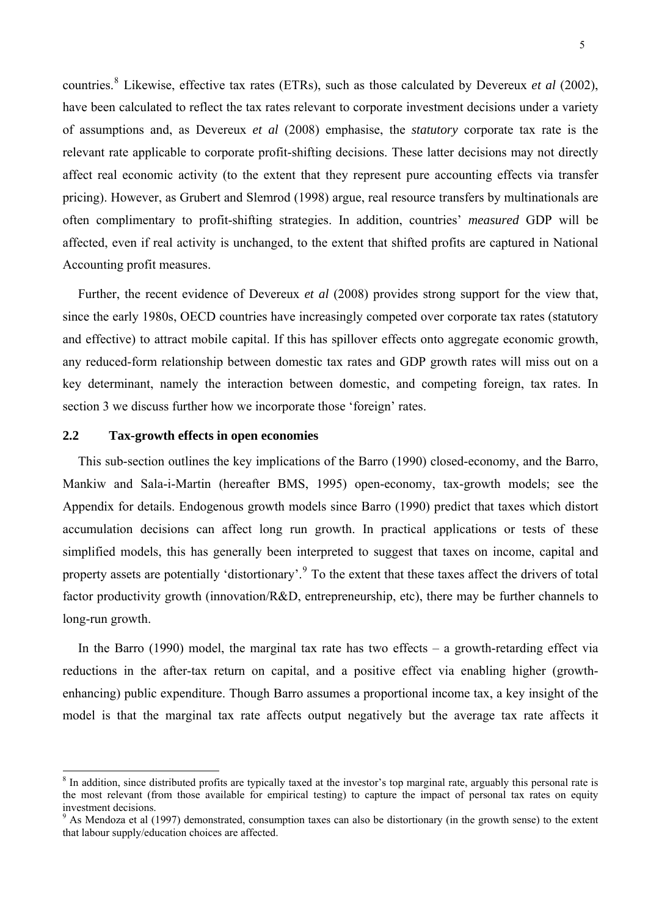<span id="page-4-0"></span>countries.<sup>[8](#page-4-0)</sup> Likewise, effective tax rates (ETRs), such as those calculated by Devereux *et al* (2002), have been calculated to reflect the tax rates relevant to corporate investment decisions under a variety of assumptions and, as Devereux *et al* (2008) emphasise, the *statutory* corporate tax rate is the relevant rate applicable to corporate profit-shifting decisions. These latter decisions may not directly affect real economic activity (to the extent that they represent pure accounting effects via transfer pricing). However, as Grubert and Slemrod (1998) argue, real resource transfers by multinationals are often complimentary to profit-shifting strategies. In addition, countries' *measured* GDP will be affected, even if real activity is unchanged, to the extent that shifted profits are captured in National Accounting profit measures.

Further, the recent evidence of Devereux *et al* (2008) provides strong support for the view that, since the early 1980s, OECD countries have increasingly competed over corporate tax rates (statutory and effective) to attract mobile capital. If this has spillover effects onto aggregate economic growth, any reduced-form relationship between domestic tax rates and GDP growth rates will miss out on a key determinant, namely the interaction between domestic, and competing foreign, tax rates. In section 3 we discuss further how we incorporate those 'foreign' rates.

# **2.2 Tax-growth effects in open economies**

 $\overline{a}$ 

This sub-section outlines the key implications of the Barro (1990) closed-economy, and the Barro, Mankiw and Sala-i-Martin (hereafter BMS, 1995) open-economy, tax-growth models; see the Appendix for details. Endogenous growth models since Barro (1990) predict that taxes which distort accumulation decisions can affect long run growth. In practical applications or tests of these simplified models, this has generally been interpreted to suggest that taxes on income, capital and property assets are potentially 'distortionary'.<sup>[9](#page-4-0)</sup> To the extent that these taxes affect the drivers of total factor productivity growth (innovation/R&D, entrepreneurship, etc), there may be further channels to long-run growth.

In the Barro  $(1990)$  model, the marginal tax rate has two effects – a growth-retarding effect via reductions in the after-tax return on capital, and a positive effect via enabling higher (growthenhancing) public expenditure. Though Barro assumes a proportional income tax, a key insight of the model is that the marginal tax rate affects output negatively but the average tax rate affects it

<sup>&</sup>lt;sup>8</sup> In addition, since distributed profits are typically taxed at the investor's top marginal rate, arguably this personal rate is the most relevant (from those available for empirical testing) to capture the impact of personal tax rates on equity investment decisions.

<sup>&</sup>lt;sup>9</sup> As Mendoza et al (1997) demonstrated, consumption taxes can also be distortionary (in the growth sense) to the extent that labour supply/education choices are affected.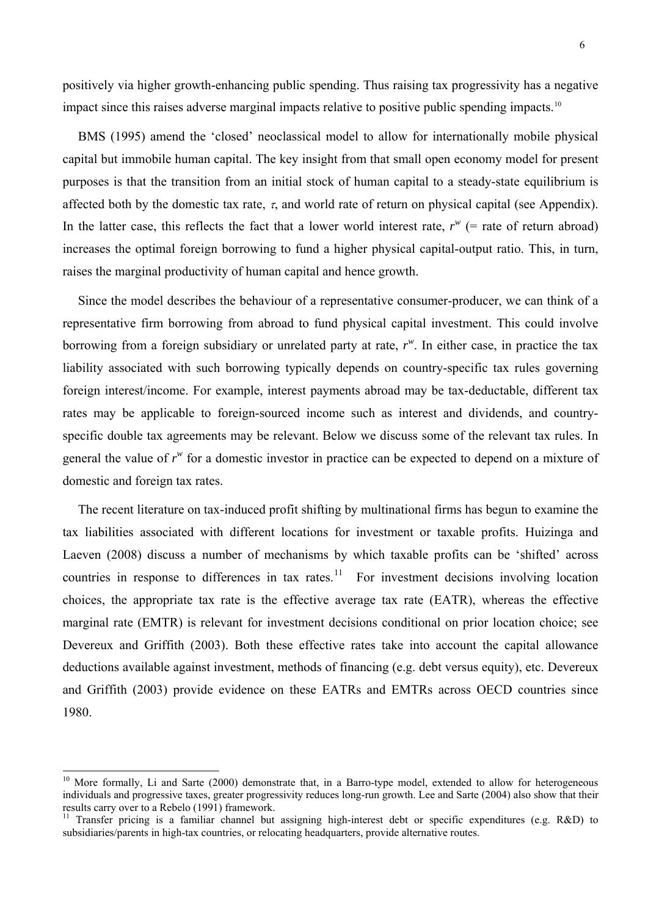<span id="page-5-0"></span>positively via higher growth-enhancing public spending. Thus raising tax progressivity has a negative impact since this raises adverse marginal impacts relative to positive public spending impacts.<sup>[10](#page-5-0)</sup>

BMS (1995) amend the 'closed' neoclassical model to allow for internationally mobile physical capital but immobile human capital. The key insight from that small open economy model for present purposes is that the transition from an initial stock of human capital to a steady-state equilibrium is affected both by the domestic tax rate,  $\tau$ , and world rate of return on physical capital (see Appendix). In the latter case, this reflects the fact that a lower world interest rate,  $r^w$  (= rate of return abroad) increases the optimal foreign borrowing to fund a higher physical capital-output ratio. This, in turn, raises the marginal productivity of human capital and hence growth.

Since the model describes the behaviour of a representative consumer-producer, we can think of a representative firm borrowing from abroad to fund physical capital investment. This could involve borrowing from a foreign subsidiary or unrelated party at rate, *r w* . In either case, in practice the tax liability associated with such borrowing typically depends on country-specific tax rules governing foreign interest/income. For example, interest payments abroad may be tax-deductable, different tax rates may be applicable to foreign-sourced income such as interest and dividends, and countryspecific double tax agreements may be relevant. Below we discuss some of the relevant tax rules. In general the value of  $r^w$  for a domestic investor in practice can be expected to depend on a mixture of domestic and foreign tax rates.

The recent literature on tax-induced profit shifting by multinational firms has begun to examine the tax liabilities associated with different locations for investment or taxable profits. Huizinga and Laeven (2008) discuss a number of mechanisms by which taxable profits can be 'shifted' across countries in response to differences in tax rates.<sup>[11](#page-5-0)</sup> For investment decisions involving location choices, the appropriate tax rate is the effective average tax rate (EATR), whereas the effective marginal rate (EMTR) is relevant for investment decisions conditional on prior location choice; see Devereux and Griffith (2003). Both these effective rates take into account the capital allowance deductions available against investment, methods of financing (e.g. debt versus equity), etc. Devereux and Griffith (2003) provide evidence on these EATRs and EMTRs across OECD countries since 1980.

 $10$  More formally, Li and Sarte (2000) demonstrate that, in a Barro-type model, extended to allow for heterogeneous individuals and progressive taxes, greater progressivity reduces long-run growth. Lee and Sarte (2004) also show that their results carry over to a Rebelo (1991) framework.

<sup>&</sup>lt;sup>11</sup> Transfer pricing is a familiar channel but assigning high-interest debt or specific expenditures (e.g. R&D) to subsidiaries/parents in high-tax countries, or relocating headquarters, provide alternative routes.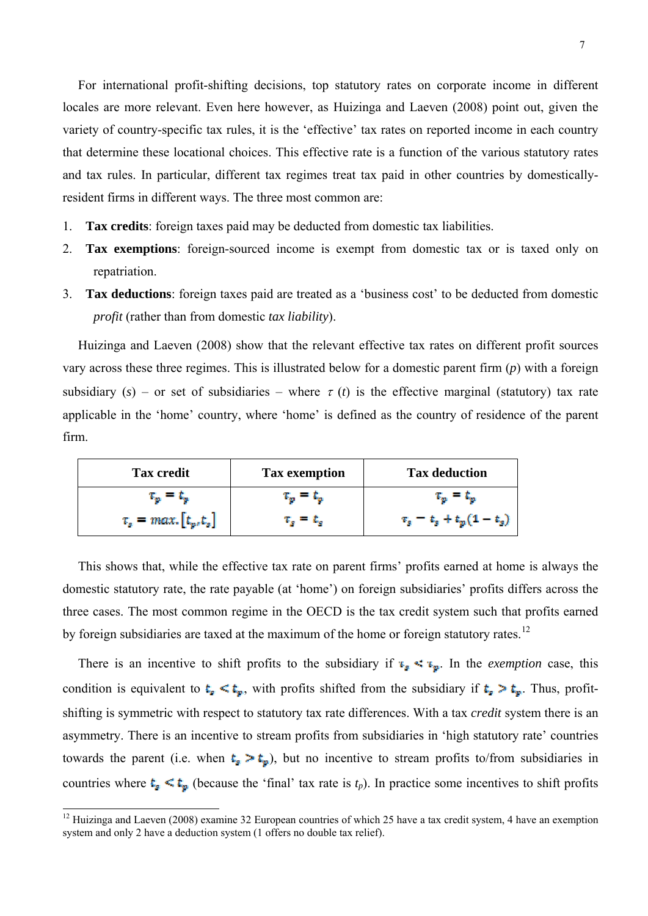<span id="page-6-0"></span>For international profit-shifting decisions, top statutory rates on corporate income in different locales are more relevant. Even here however, as Huizinga and Laeven (2008) point out, given the variety of country-specific tax rules, it is the 'effective' tax rates on reported income in each country that determine these locational choices. This effective rate is a function of the various statutory rates and tax rules. In particular, different tax regimes treat tax paid in other countries by domesticallyresident firms in different ways. The three most common are:

- 1. **Tax credits**: foreign taxes paid may be deducted from domestic tax liabilities.
- 2. **Tax exemptions**: foreign-sourced income is exempt from domestic tax or is taxed only on repatriation.
- 3. **Tax deductions**: foreign taxes paid are treated as a 'business cost' to be deducted from domestic *profit* (rather than from domestic *tax liability*).

Huizinga and Laeven (2008) show that the relevant effective tax rates on different profit sources vary across these three regimes. This is illustrated below for a domestic parent firm (*p*) with a foreign subsidiary  $(s)$  – or set of subsidiaries – where  $\tau(t)$  is the effective marginal (statutory) tax rate applicable in the 'home' country, where 'home' is defined as the country of residence of the parent firm.

| <b>Tax credit</b>             | <b>Tax exemption</b>          | <b>Tax deduction</b>                |
|-------------------------------|-------------------------------|-------------------------------------|
| $\tau_{\rm m} = \tau_{\rm m}$ | $\tau_{\rm m} = \tau_{\rm m}$ | $\tau_m = \tau_m$                   |
| $\tau_s = max. [t_p, t_s]$    | $\tau_{\rm s} = \tau_{\rm s}$ | $\tau_{s} = t_{s} + t_{p}(1-t_{s})$ |

This shows that, while the effective tax rate on parent firms' profits earned at home is always the domestic statutory rate, the rate payable (at 'home') on foreign subsidiaries' profits differs across the three cases. The most common regime in the OECD is the tax credit system such that profits earned by foreign subsidiaries are taxed at the maximum of the home or foreign statutory rates.<sup>[12](#page-6-0)</sup>

There is an incentive to shift profits to the subsidiary if  $\mathbf{F}_{s} \leq \mathbf{F}_{p}$ . In the *exemption* case, this condition is equivalent to  $t_a \le t_g$ , with profits shifted from the subsidiary if  $t_a > t_g$ . Thus, profitshifting is symmetric with respect to statutory tax rate differences. With a tax *credit* system there is an asymmetry. There is an incentive to stream profits from subsidiaries in 'high statutory rate' countries towards the parent (i.e. when  $t_s > t_p$ ), but no incentive to stream profits to/from subsidiaries in countries where  $t_{\rm s} \le t_{\rm p}$  (because the 'final' tax rate is  $t_p$ ). In practice some incentives to shift profits

 $12$  Huizinga and Laeven (2008) examine 32 European countries of which 25 have a tax credit system, 4 have an exemption system and only 2 have a deduction system (1 offers no double tax relief).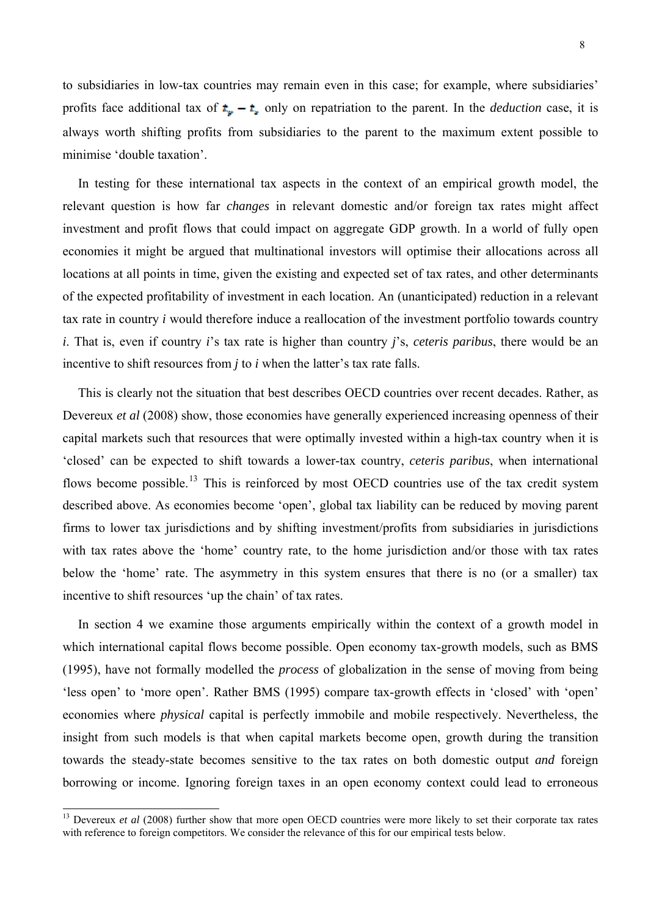<span id="page-7-0"></span>to subsidiaries in low-tax countries may remain even in this case; for example, where subsidiaries' profits face additional tax of  $t_{\nu} - t_{\nu}$  only on repatriation to the parent. In the *deduction* case, it is always worth shifting profits from subsidiaries to the parent to the maximum extent possible to minimise 'double taxation'.

In testing for these international tax aspects in the context of an empirical growth model, the relevant question is how far *changes* in relevant domestic and/or foreign tax rates might affect investment and profit flows that could impact on aggregate GDP growth. In a world of fully open economies it might be argued that multinational investors will optimise their allocations across all locations at all points in time, given the existing and expected set of tax rates, and other determinants of the expected profitability of investment in each location. An (unanticipated) reduction in a relevant tax rate in country *i* would therefore induce a reallocation of the investment portfolio towards country *i*. That is, even if country *i*'s tax rate is higher than country *j*'s, *ceteris paribus*, there would be an incentive to shift resources from *j* to *i* when the latter's tax rate falls.

This is clearly not the situation that best describes OECD countries over recent decades. Rather, as Devereux *et al* (2008) show, those economies have generally experienced increasing openness of their capital markets such that resources that were optimally invested within a high-tax country when it is 'closed' can be expected to shift towards a lower-tax country, *ceteris paribus*, when international flows become possible.<sup>[13](#page-7-0)</sup> This is reinforced by most OECD countries use of the tax credit system described above. As economies become 'open', global tax liability can be reduced by moving parent firms to lower tax jurisdictions and by shifting investment/profits from subsidiaries in jurisdictions with tax rates above the 'home' country rate, to the home jurisdiction and/or those with tax rates below the 'home' rate. The asymmetry in this system ensures that there is no (or a smaller) tax incentive to shift resources 'up the chain' of tax rates.

In section 4 we examine those arguments empirically within the context of a growth model in which international capital flows become possible. Open economy tax-growth models, such as BMS (1995), have not formally modelled the *process* of globalization in the sense of moving from being 'less open' to 'more open'. Rather BMS (1995) compare tax-growth effects in 'closed' with 'open' economies where *physical* capital is perfectly immobile and mobile respectively. Nevertheless, the insight from such models is that when capital markets become open, growth during the transition towards the steady-state becomes sensitive to the tax rates on both domestic output *and* foreign borrowing or income. Ignoring foreign taxes in an open economy context could lead to erroneous

<sup>&</sup>lt;sup>13</sup> Devereux *et al* (2008) further show that more open OECD countries were more likely to set their corporate tax rates with reference to foreign competitors. We consider the relevance of this for our empirical tests below.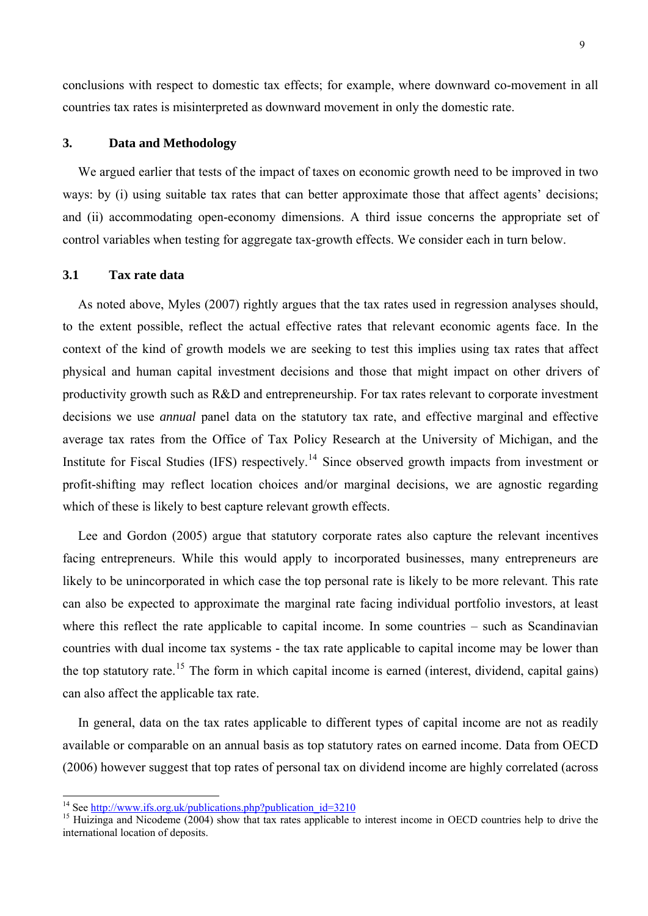<span id="page-8-0"></span>conclusions with respect to domestic tax effects; for example, where downward co-movement in all countries tax rates is misinterpreted as downward movement in only the domestic rate.

### **3. Data and Methodology**

We argued earlier that tests of the impact of taxes on economic growth need to be improved in two ways: by (i) using suitable tax rates that can better approximate those that affect agents' decisions; and (ii) accommodating open-economy dimensions. A third issue concerns the appropriate set of control variables when testing for aggregate tax-growth effects. We consider each in turn below.

### **3.1 Tax rate data**

As noted above, Myles (2007) rightly argues that the tax rates used in regression analyses should, to the extent possible, reflect the actual effective rates that relevant economic agents face. In the context of the kind of growth models we are seeking to test this implies using tax rates that affect physical and human capital investment decisions and those that might impact on other drivers of productivity growth such as R&D and entrepreneurship. For tax rates relevant to corporate investment decisions we use *annual* panel data on the statutory tax rate, and effective marginal and effective average tax rates from the Office of Tax Policy Research at the University of Michigan, and the Institute for Fiscal Studies (IFS) respectively.<sup>[14](#page-8-0)</sup> Since observed growth impacts from investment or profit-shifting may reflect location choices and/or marginal decisions, we are agnostic regarding which of these is likely to best capture relevant growth effects.

Lee and Gordon (2005) argue that statutory corporate rates also capture the relevant incentives facing entrepreneurs. While this would apply to incorporated businesses, many entrepreneurs are likely to be unincorporated in which case the top personal rate is likely to be more relevant. This rate can also be expected to approximate the marginal rate facing individual portfolio investors, at least where this reflect the rate applicable to capital income. In some countries – such as Scandinavian countries with dual income tax systems - the tax rate applicable to capital income may be lower than the top statutory rate.<sup>[15](#page-8-0)</sup> The form in which capital income is earned (interest, dividend, capital gains) can also affect the applicable tax rate.

In general, data on the tax rates applicable to different types of capital income are not as readily available or comparable on an annual basis as top statutory rates on earned income. Data from OECD (2006) however suggest that top rates of personal tax on dividend income are highly correlated (across

<sup>&</sup>lt;sup>14</sup> See http://www.ifs.org.uk/publications.php?publication\_id=3210

<sup>&</sup>lt;sup>15</sup> Huizinga and Nicodeme (2004) show that tax rates applicable to interest income in OECD countries help to drive the international location of deposits.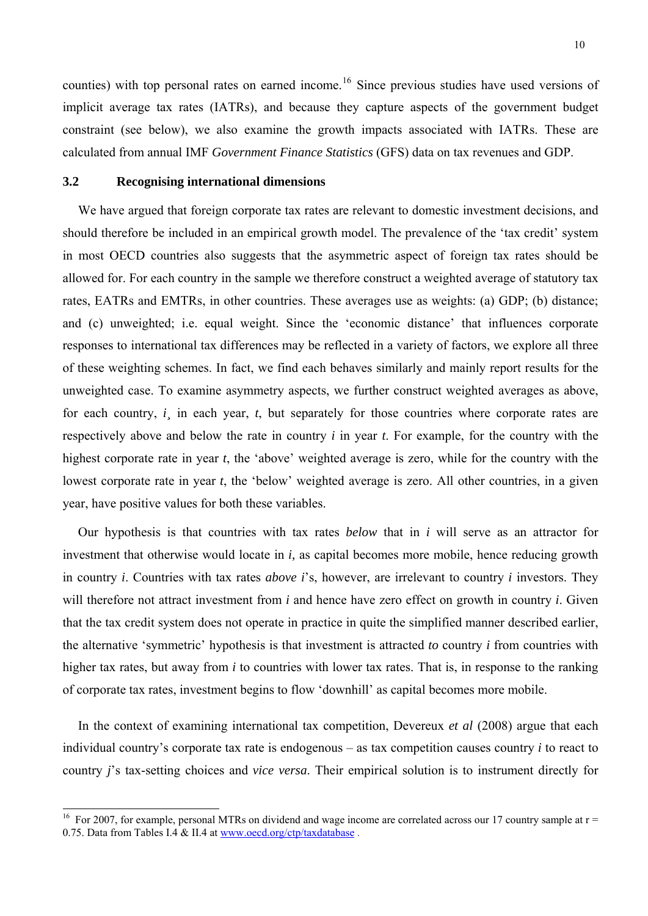<span id="page-9-0"></span>counties) with top personal rates on earned income.<sup>[16](#page-9-0)</sup> Since previous studies have used versions of implicit average tax rates (IATRs), and because they capture aspects of the government budget constraint (see below), we also examine the growth impacts associated with IATRs. These are calculated from annual IMF *Government Finance Statistics* (GFS) data on tax revenues and GDP.

### **3.2 Recognising international dimensions**

 $\overline{a}$ 

We have argued that foreign corporate tax rates are relevant to domestic investment decisions, and should therefore be included in an empirical growth model. The prevalence of the 'tax credit' system in most OECD countries also suggests that the asymmetric aspect of foreign tax rates should be allowed for. For each country in the sample we therefore construct a weighted average of statutory tax rates, EATRs and EMTRs, in other countries. These averages use as weights: (a) GDP; (b) distance; and (c) unweighted; i.e. equal weight. Since the 'economic distance' that influences corporate responses to international tax differences may be reflected in a variety of factors, we explore all three of these weighting schemes. In fact, we find each behaves similarly and mainly report results for the unweighted case. To examine asymmetry aspects, we further construct weighted averages as above, for each country, *i* in each year, *t*, but separately for those countries where corporate rates are respectively above and below the rate in country *i* in year *t*. For example, for the country with the highest corporate rate in year *t*, the 'above' weighted average is zero, while for the country with the lowest corporate rate in year *t*, the 'below' weighted average is zero. All other countries, in a given year, have positive values for both these variables.

Our hypothesis is that countries with tax rates *below* that in *i* will serve as an attractor for investment that otherwise would locate in *i,* as capital becomes more mobile, hence reducing growth in country *i*. Countries with tax rates *above i*'s, however, are irrelevant to country *i* investors. They will therefore not attract investment from *i* and hence have zero effect on growth in country *i*. Given that the tax credit system does not operate in practice in quite the simplified manner described earlier, the alternative 'symmetric' hypothesis is that investment is attracted *to* country *i* from countries with higher tax rates, but away from *i* to countries with lower tax rates. That is, in response to the ranking of corporate tax rates, investment begins to flow 'downhill' as capital becomes more mobile.

In the context of examining international tax competition, Devereux *et al* (2008) argue that each individual country's corporate tax rate is endogenous – as tax competition causes country *i* to react to country *j*'s tax-setting choices and *vice versa*. Their empirical solution is to instrument directly for

<sup>&</sup>lt;sup>16</sup> For 2007, for example, personal MTRs on dividend and wage income are correlated across our 17 country sample at  $r =$ 0.75. Data from Tables I.4 & II.4 at www.oecd.org/ctp/taxdatabase.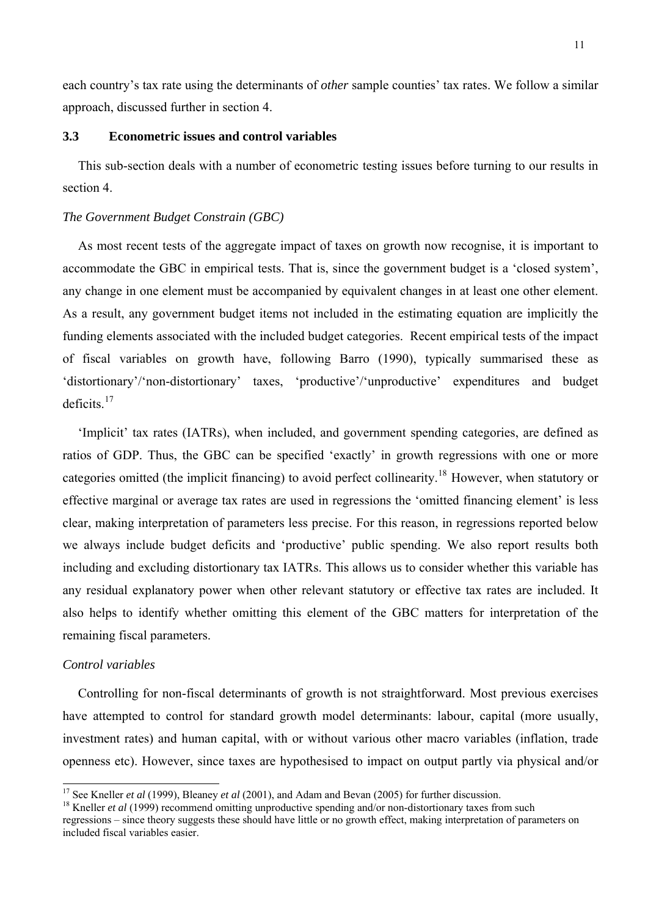<span id="page-10-0"></span>each country's tax rate using the determinants of *other* sample counties' tax rates. We follow a similar approach, discussed further in section 4.

# **3.3 Econometric issues and control variables**

This sub-section deals with a number of econometric testing issues before turning to our results in section 4.

### *The Government Budget Constrain (GBC)*

As most recent tests of the aggregate impact of taxes on growth now recognise, it is important to accommodate the GBC in empirical tests. That is, since the government budget is a 'closed system', any change in one element must be accompanied by equivalent changes in at least one other element. As a result, any government budget items not included in the estimating equation are implicitly the funding elements associated with the included budget categories. Recent empirical tests of the impact of fiscal variables on growth have, following Barro (1990), typically summarised these as 'distortionary'/'non-distortionary' taxes, 'productive'/'unproductive' expenditures and budget  $deficits$ <sup>[17](#page-10-0)</sup>

'Implicit' tax rates (IATRs), when included, and government spending categories, are defined as ratios of GDP. Thus, the GBC can be specified 'exactly' in growth regressions with one or more categories omitted (the implicit financing) to avoid perfect collinearity.<sup>[18](#page-10-0)</sup> However, when statutory or effective marginal or average tax rates are used in regressions the 'omitted financing element' is less clear, making interpretation of parameters less precise. For this reason, in regressions reported below we always include budget deficits and 'productive' public spending. We also report results both including and excluding distortionary tax IATRs. This allows us to consider whether this variable has any residual explanatory power when other relevant statutory or effective tax rates are included. It also helps to identify whether omitting this element of the GBC matters for interpretation of the remaining fiscal parameters.

# *Control variables*

Controlling for non-fiscal determinants of growth is not straightforward. Most previous exercises have attempted to control for standard growth model determinants: labour, capital (more usually, investment rates) and human capital, with or without various other macro variables (inflation, trade openness etc). However, since taxes are hypothesised to impact on output partly via physical and/or

<sup>&</sup>lt;sup>17</sup> See Kneller *et al* (1999), Bleaney *et al* (2001), and Adam and Bevan (2005) for further discussion.

<sup>&</sup>lt;sup>18</sup> Kneller *et al* (1999) recommend omitting unproductive spending and/or non-distortionary taxes from such regressions – since theory suggests these should have little or no growth effect, making interpretation of parameters on included fiscal variables easier.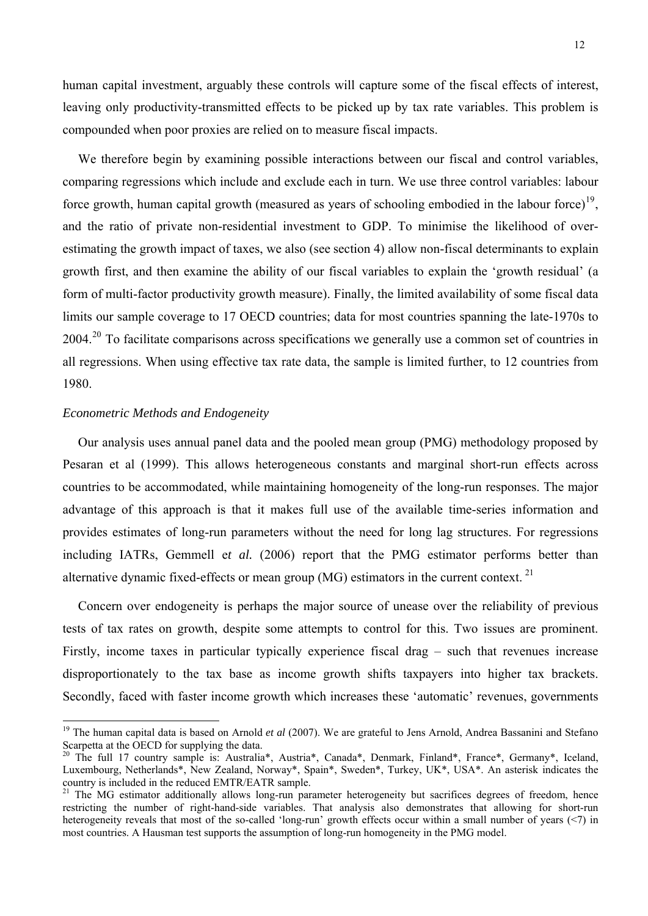<span id="page-11-0"></span>human capital investment, arguably these controls will capture some of the fiscal effects of interest, leaving only productivity-transmitted effects to be picked up by tax rate variables. This problem is compounded when poor proxies are relied on to measure fiscal impacts.

We therefore begin by examining possible interactions between our fiscal and control variables, comparing regressions which include and exclude each in turn. We use three control variables: labour force growth, human capital growth (measured as years of schooling embodied in the labour force)<sup>[19](#page-11-0)</sup>. and the ratio of private non-residential investment to GDP. To minimise the likelihood of overestimating the growth impact of taxes, we also (see section 4) allow non-fiscal determinants to explain growth first, and then examine the ability of our fiscal variables to explain the 'growth residual' (a form of multi-factor productivity growth measure). Finally, the limited availability of some fiscal data limits our sample coverage to 17 OECD countries; data for most countries spanning the late-1970s to [20](#page-11-0)04.<sup>20</sup> To facilitate comparisons across specifications we generally use a common set of countries in all regressions. When using effective tax rate data, the sample is limited further, to 12 countries from 1980.

### *Econometric Methods and Endogeneity*

 $\overline{a}$ 

Our analysis uses annual panel data and the pooled mean group (PMG) methodology proposed by Pesaran et al (1999). This allows heterogeneous constants and marginal short-run effects across countries to be accommodated, while maintaining homogeneity of the long-run responses. The major advantage of this approach is that it makes full use of the available time-series information and provides estimates of long-run parameters without the need for long lag structures. For regressions including IATRs, Gemmell e*t al.* (2006) report that the PMG estimator performs better than alternative dynamic fixed-effects or mean group (MG) estimators in the current context.<sup>[21](#page-11-0)</sup>

Concern over endogeneity is perhaps the major source of unease over the reliability of previous tests of tax rates on growth, despite some attempts to control for this. Two issues are prominent. Firstly, income taxes in particular typically experience fiscal drag – such that revenues increase disproportionately to the tax base as income growth shifts taxpayers into higher tax brackets. Secondly, faced with faster income growth which increases these 'automatic' revenues, governments

<sup>&</sup>lt;sup>19</sup> The human capital data is based on Arnold *et al* (2007). We are grateful to Jens Arnold, Andrea Bassanini and Stefano Scarpetta at the OECD for supplying the data.

<sup>&</sup>lt;sup>20</sup> The full 17 country sample is: Australia\*, Austria\*, Canada\*, Denmark, Finland\*, France\*, Germany\*, Iceland, Luxembourg, Netherlands\*, New Zealand, Norway\*, Spain\*, Sweden\*, Turkey, UK\*, USA\*. An asterisk indicates the country is included in the reduced EMTR/EATR sample.

<sup>&</sup>lt;sup>21</sup> The MG estimator additionally allows long-run parameter heterogeneity but sacrifices degrees of freedom, hence restricting the number of right-hand-side variables. That analysis also demonstrates that allowing for short-run heterogeneity reveals that most of the so-called 'long-run' growth effects occur within a small number of years (<7) in most countries. A Hausman test supports the assumption of long-run homogeneity in the PMG model.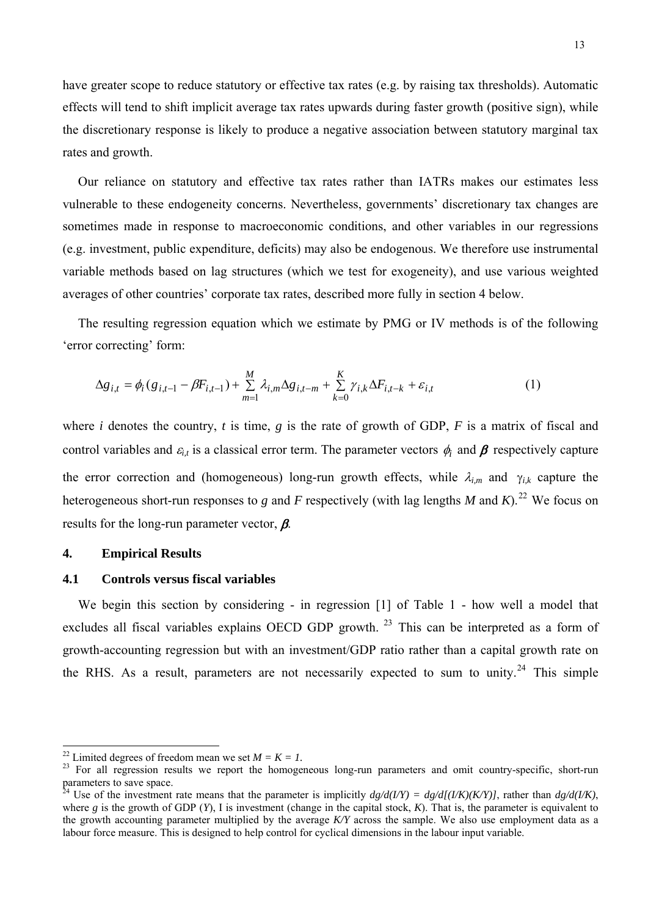<span id="page-12-0"></span>have greater scope to reduce statutory or effective tax rates (e.g. by raising tax thresholds). Automatic effects will tend to shift implicit average tax rates upwards during faster growth (positive sign), while the discretionary response is likely to produce a negative association between statutory marginal tax rates and growth.

Our reliance on statutory and effective tax rates rather than IATRs makes our estimates less vulnerable to these endogeneity concerns. Nevertheless, governments' discretionary tax changes are sometimes made in response to macroeconomic conditions, and other variables in our regressions (e.g. investment, public expenditure, deficits) may also be endogenous. We therefore use instrumental variable methods based on lag structures (which we test for exogeneity), and use various weighted averages of other countries' corporate tax rates, described more fully in section 4 below.

The resulting regression equation which we estimate by PMG or IV methods is of the following 'error correcting' form:

$$
\Delta g_{i,t} = \phi_i (g_{i,t-1} - \beta F_{i,t-1}) + \sum_{m=1}^{M} \lambda_{i,m} \Delta g_{i,t-m} + \sum_{k=0}^{K} \gamma_{i,k} \Delta F_{i,t-k} + \varepsilon_{i,t}
$$
(1)

where *i* denotes the country, *t* is time, *g* is the rate of growth of GDP, *F* is a matrix of fiscal and control variables and  $\varepsilon_{i,t}$  is a classical error term. The parameter vectors  $\phi_i$  and  $\beta$  respectively capture the error correction and (homogeneous) long-run growth effects, while λ*i,m* and γ*i,k* capture the heterogeneous short-run responses to *g* and *F* respectively (with lag lengths *M* and *K*).<sup>[22](#page-12-0)</sup> We focus on results for the long-run parameter vector,  $\beta$ .

# **4. Empirical Results**

# **4.1 Controls versus fiscal variables**

We begin this section by considering - in regression [1] of Table 1 - how well a model that excludes all fiscal variables explains OECD GDP growth.<sup>[23](#page-12-0)</sup> This can be interpreted as a form of growth-accounting regression but with an investment/GDP ratio rather than a capital growth rate on the RHS. As a result, parameters are not necessarily expected to sum to unity.<sup>[24](#page-12-0)</sup> This simple

<sup>&</sup>lt;sup>22</sup> Limited degrees of freedom mean we set  $M = K = 1$ .

<sup>&</sup>lt;sup>23</sup> For all regression results we report the homogeneous long-run parameters and omit country-specific, short-run parameters to save space.

<sup>&</sup>lt;sup>24</sup> Use of the investment rate means that the parameter is implicitly  $dg/d(I/Y) = dg/d[(I/K)(K/Y)]$ , rather than  $dg/d(I/K)$ , where *g* is the growth of GDP (*Y*), I is investment (change in the capital stock, *K*). That is, the parameter is equivalent to the growth accounting parameter multiplied by the average *K/Y* across the sample. We also use employment data as a labour force measure. This is designed to help control for cyclical dimensions in the labour input variable.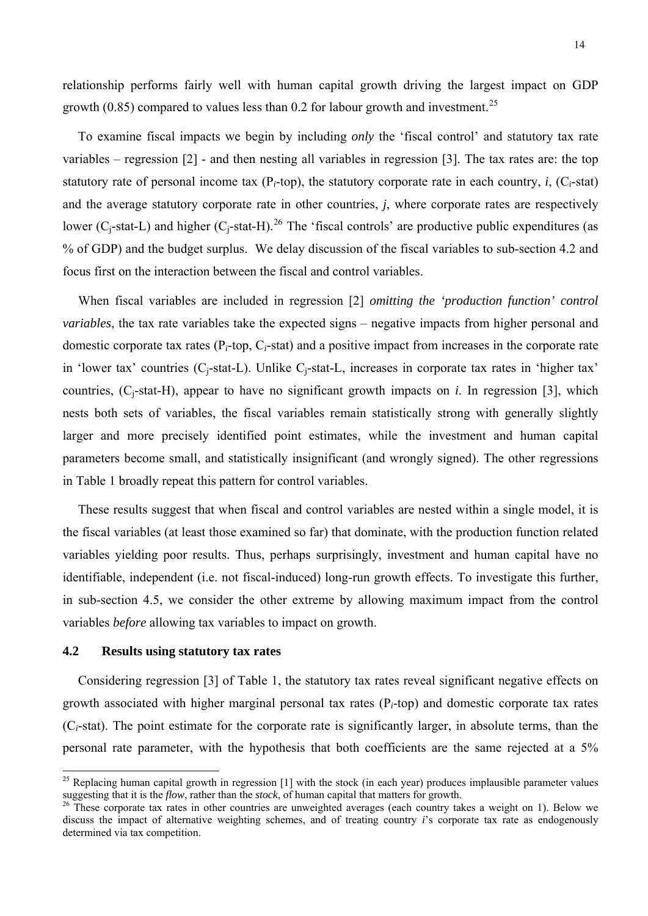<span id="page-13-0"></span>To examine fiscal impacts we begin by including *only* the 'fiscal control' and statutory tax rate variables – regression [2] - and then nesting all variables in regression [3]. The tax rates are: the top statutory rate of personal income tax  $(P_i$ -top), the statutory corporate rate in each country, *i*,  $(C_i$ -stat) and the average statutory corporate rate in other countries, *j*, where corporate rates are respectively lower ( $C_i$ -stat-L) and higher ( $C_i$ -stat-H).<sup>[26](#page-13-0)</sup> The 'fiscal controls' are productive public expenditures (as % of GDP) and the budget surplus. We delay discussion of the fiscal variables to sub-section 4.2 and focus first on the interaction between the fiscal and control variables.

When fiscal variables are included in regression [2] *omitting the 'production function' control variables*, the tax rate variables take the expected signs – negative impacts from higher personal and domestic corporate tax rates (P*i*-top, C*i*-stat) and a positive impact from increases in the corporate rate in 'lower tax' countries (C<sub>i</sub>-stat-L). Unlike C<sub>i</sub>-stat-L, increases in corporate tax rates in 'higher tax' countries,  $(C_i$ -stat-H), appear to have no significant growth impacts on *i*. In regression [3], which nests both sets of variables, the fiscal variables remain statistically strong with generally slightly larger and more precisely identified point estimates, while the investment and human capital parameters become small, and statistically insignificant (and wrongly signed). The other regressions in Table 1 broadly repeat this pattern for control variables.

These results suggest that when fiscal and control variables are nested within a single model, it is the fiscal variables (at least those examined so far) that dominate, with the production function related variables yielding poor results. Thus, perhaps surprisingly, investment and human capital have no identifiable, independent (i.e. not fiscal-induced) long-run growth effects. To investigate this further, in sub-section 4.5, we consider the other extreme by allowing maximum impact from the control variables *before* allowing tax variables to impact on growth.

# **4.2 Results using statutory tax rates**

 $\overline{\phantom{a}}$ 

Considering regression [3] of Table 1, the statutory tax rates reveal significant negative effects on growth associated with higher marginal personal tax rates (P*i*-top) and domestic corporate tax rates (C*i*-stat). The point estimate for the corporate rate is significantly larger, in absolute terms, than the personal rate parameter, with the hypothesis that both coefficients are the same rejected at a 5%

<sup>&</sup>lt;sup>25</sup> Replacing human capital growth in regression [1] with the stock (in each year) produces implausible parameter values suggesting that it is the *flow*, rather than the *stock*, of human capital that matters for growth

<sup>&</sup>lt;sup>26</sup> These corporate tax rates in other countries are unweighted averages (each country takes a weight on 1). Below we discuss the impact of alternative weighting schemes, and of treating country *i*'s corporate tax rate as endogenously determined via tax competition.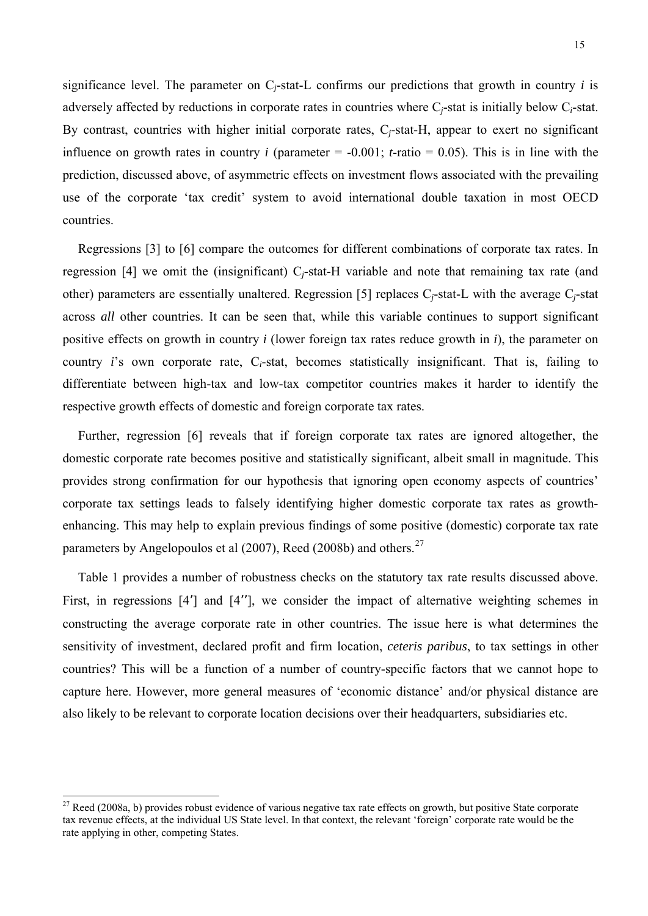<span id="page-14-0"></span>significance level. The parameter on  $C_i$ -stat-L confirms our predictions that growth in country *i* is adversely affected by reductions in corporate rates in countries where C*j*-stat is initially below C*i*-stat. By contrast, countries with higher initial corporate rates, C*j*-stat-H, appear to exert no significant influence on growth rates in country *i* (parameter  $= -0.001$ ; *t*-ratio  $= 0.05$ ). This is in line with the prediction, discussed above, of asymmetric effects on investment flows associated with the prevailing use of the corporate 'tax credit' system to avoid international double taxation in most OECD countries.

Regressions [3] to [6] compare the outcomes for different combinations of corporate tax rates. In regression [4] we omit the (insignificant) C*j*-stat-H variable and note that remaining tax rate (and other) parameters are essentially unaltered. Regression [5] replaces C*j*-stat-L with the average C*j*-stat across *all* other countries. It can be seen that, while this variable continues to support significant positive effects on growth in country *i* (lower foreign tax rates reduce growth in *i*), the parameter on country *i*'s own corporate rate, C*i*-stat, becomes statistically insignificant. That is, failing to differentiate between high-tax and low-tax competitor countries makes it harder to identify the respective growth effects of domestic and foreign corporate tax rates.

Further, regression [6] reveals that if foreign corporate tax rates are ignored altogether, the domestic corporate rate becomes positive and statistically significant, albeit small in magnitude. This provides strong confirmation for our hypothesis that ignoring open economy aspects of countries' corporate tax settings leads to falsely identifying higher domestic corporate tax rates as growthenhancing. This may help to explain previous findings of some positive (domestic) corporate tax rate parameters by Angelopoulos et al (2007), Reed (2008b) and others.<sup>[27](#page-14-0)</sup>

Table 1 provides a number of robustness checks on the statutory tax rate results discussed above. First, in regressions [4'] and [4''], we consider the impact of alternative weighting schemes in constructing the average corporate rate in other countries. The issue here is what determines the sensitivity of investment, declared profit and firm location, *ceteris paribus*, to tax settings in other countries? This will be a function of a number of country-specific factors that we cannot hope to capture here. However, more general measures of 'economic distance' and/or physical distance are also likely to be relevant to corporate location decisions over their headquarters, subsidiaries etc.

 $\overline{\phantom{a}}$ 

 $27$  Reed (2008a, b) provides robust evidence of various negative tax rate effects on growth, but positive State corporate tax revenue effects, at the individual US State level. In that context, the relevant 'foreign' corporate rate would be the rate applying in other, competing States.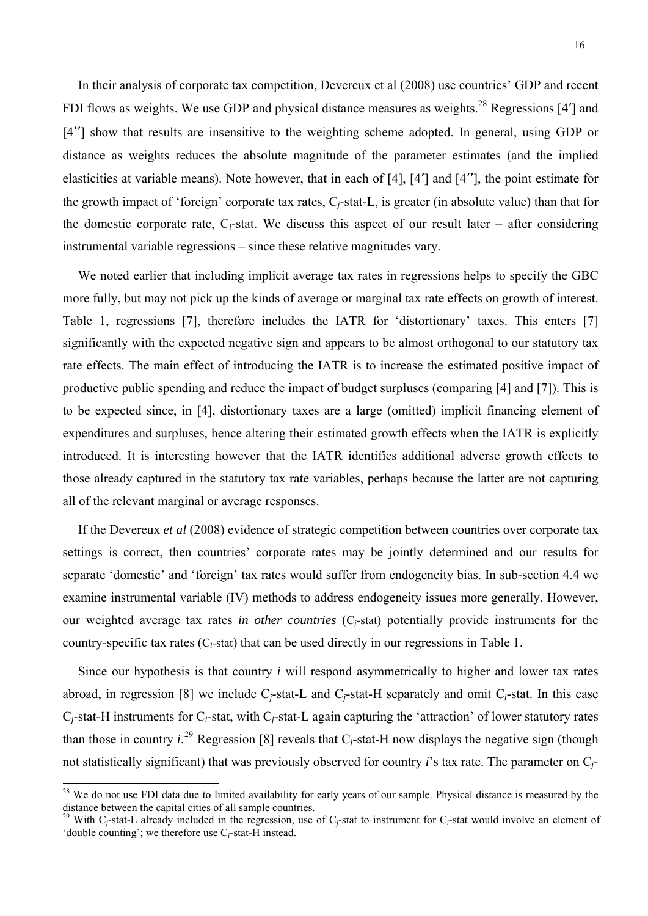<span id="page-15-0"></span>In their analysis of corporate tax competition, Devereux et al (2008) use countries' GDP and recent FDI flows as weights. We use GDP and physical distance measures as weights.<sup>[28](#page-15-0)</sup> Regressions [4'] and [4''] show that results are insensitive to the weighting scheme adopted. In general, using GDP or distance as weights reduces the absolute magnitude of the parameter estimates (and the implied elasticities at variable means). Note however, that in each of [4], [4'] and [4''], the point estimate for the growth impact of 'foreign' corporate tax rates, C*j*-stat-L, is greater (in absolute value) than that for the domestic corporate rate,  $C_i$ -stat. We discuss this aspect of our result later – after considering instrumental variable regressions – since these relative magnitudes vary.

We noted earlier that including implicit average tax rates in regressions helps to specify the GBC more fully, but may not pick up the kinds of average or marginal tax rate effects on growth of interest. Table 1, regressions [7], therefore includes the IATR for 'distortionary' taxes. This enters [7] significantly with the expected negative sign and appears to be almost orthogonal to our statutory tax rate effects. The main effect of introducing the IATR is to increase the estimated positive impact of productive public spending and reduce the impact of budget surpluses (comparing [4] and [7]). This is to be expected since, in [4], distortionary taxes are a large (omitted) implicit financing element of expenditures and surpluses, hence altering their estimated growth effects when the IATR is explicitly introduced. It is interesting however that the IATR identifies additional adverse growth effects to those already captured in the statutory tax rate variables, perhaps because the latter are not capturing all of the relevant marginal or average responses.

If the Devereux *et al* (2008) evidence of strategic competition between countries over corporate tax settings is correct, then countries' corporate rates may be jointly determined and our results for separate 'domestic' and 'foreign' tax rates would suffer from endogeneity bias. In sub-section 4.4 we examine instrumental variable (IV) methods to address endogeneity issues more generally. However, our weighted average tax rates *in other countries* (C*j*-stat) potentially provide instruments for the country-specific tax rates (C*i*-stat) that can be used directly in our regressions in Table 1.

Since our hypothesis is that country *i* will respond asymmetrically to higher and lower tax rates abroad, in regression [8] we include C*j*-stat-L and C*j*-stat-H separately and omit C*i*-stat. In this case C*j*-stat-H instruments for C*i*-stat, with C*j*-stat-L again capturing the 'attraction' of lower statutory rates than those in country  $i^{29}$  $i^{29}$  $i^{29}$  Regression [8] reveals that  $C_j$ -stat-H now displays the negative sign (though not statistically significant) that was previously observed for country *i*'s tax rate. The parameter on C*j*-

l

<sup>&</sup>lt;sup>28</sup> We do not use FDI data due to limited availability for early years of our sample. Physical distance is measured by the distance between the capital cities of all sample countries.

<sup>&</sup>lt;sup>29</sup> With C<sub>*j*</sub>-stat-L already included in the regression, use of C<sub>*j*</sub>-stat to instrument for C<sub>*j*</sub>-stat would involve an element of 'double counting'; we therefore use C*i*-stat-H instead.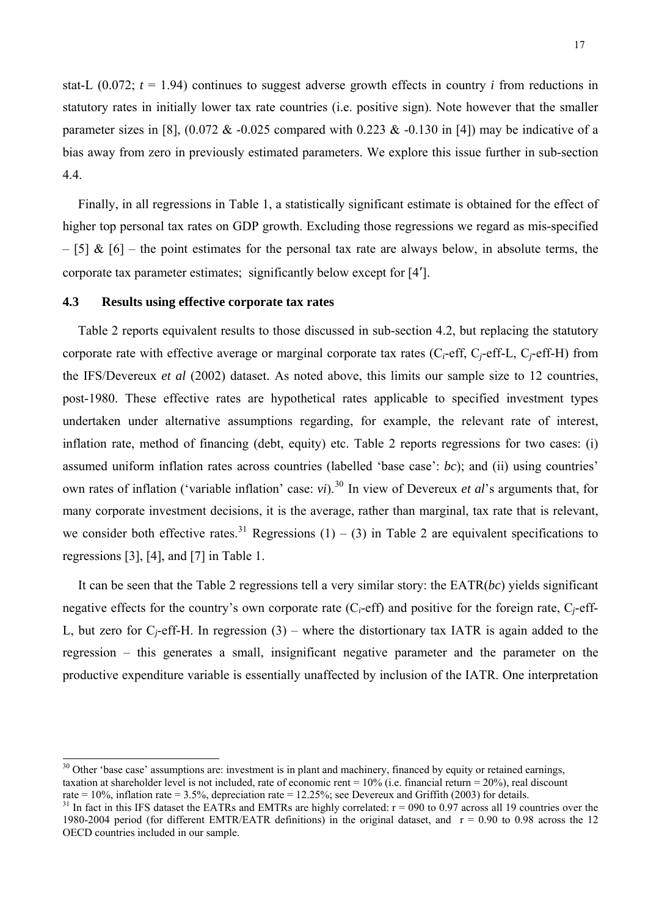<span id="page-16-0"></span>stat-L  $(0.072; t = 1.94)$  continues to suggest adverse growth effects in country *i* from reductions in statutory rates in initially lower tax rate countries (i.e. positive sign). Note however that the smaller parameter sizes in [8],  $(0.072 \& 0.025$  compared with 0.223  $& 0.130$  in [4]) may be indicative of a bias away from zero in previously estimated parameters. We explore this issue further in sub-section 4.4.

Finally, in all regressions in Table 1, a statistically significant estimate is obtained for the effect of higher top personal tax rates on GDP growth. Excluding those regressions we regard as mis-specified  $-$  [5] & [6] – the point estimates for the personal tax rate are always below, in absolute terms, the corporate tax parameter estimates; significantly below except for [4'].

### **4.3 Results using effective corporate tax rates**

 $\overline{\phantom{a}}$ 

Table 2 reports equivalent results to those discussed in sub-section 4.2, but replacing the statutory corporate rate with effective average or marginal corporate tax rates (C*i*-eff, C*j*-eff-L, C*j*-eff-H) from the IFS/Devereux *et al* (2002) dataset. As noted above, this limits our sample size to 12 countries, post-1980. These effective rates are hypothetical rates applicable to specified investment types undertaken under alternative assumptions regarding, for example, the relevant rate of interest, inflation rate, method of financing (debt, equity) etc. Table 2 reports regressions for two cases: (i) assumed uniform inflation rates across countries (labelled 'base case': *bc*); and (ii) using countries' own rates of inflation ('variable inflation' case: *vi*).<sup>[30](#page-16-0)</sup> In view of Devereux *et al's* arguments that, for many corporate investment decisions, it is the average, rather than marginal, tax rate that is relevant, we consider both effective rates.<sup>[31](#page-16-0)</sup> Regressions (1) – (3) in Table 2 are equivalent specifications to regressions [3], [4], and [7] in Table 1.

It can be seen that the Table 2 regressions tell a very similar story: the EATR(*bc*) yields significant negative effects for the country's own corporate rate (C*i*-eff) and positive for the foreign rate, C*j*-eff-L, but zero for  $C_i$ -eff-H. In regression  $(3)$  – where the distortionary tax IATR is again added to the regression – this generates a small, insignificant negative parameter and the parameter on the productive expenditure variable is essentially unaffected by inclusion of the IATR. One interpretation

<sup>&</sup>lt;sup>30</sup> Other 'base case' assumptions are: investment is in plant and machinery, financed by equity or retained earnings, taxation at shareholder level is not included, rate of economic rent = 10% (i.e. financial return = 20%), real discount rate = 10%, inflation rate = 3.5%, depreciation rate = 12.25%; see Devereux and Griffith (2003) for details.

 $31$  In fact in this IFS dataset the EATRs and EMTRs are highly correlated:  $r = 090$  to 0.97 across all 19 countries over the 1980-2004 period (for different EMTR/EATR definitions) in the original dataset, and  $r = 0.90$  to 0.98 across the 12 OECD countries included in our sample.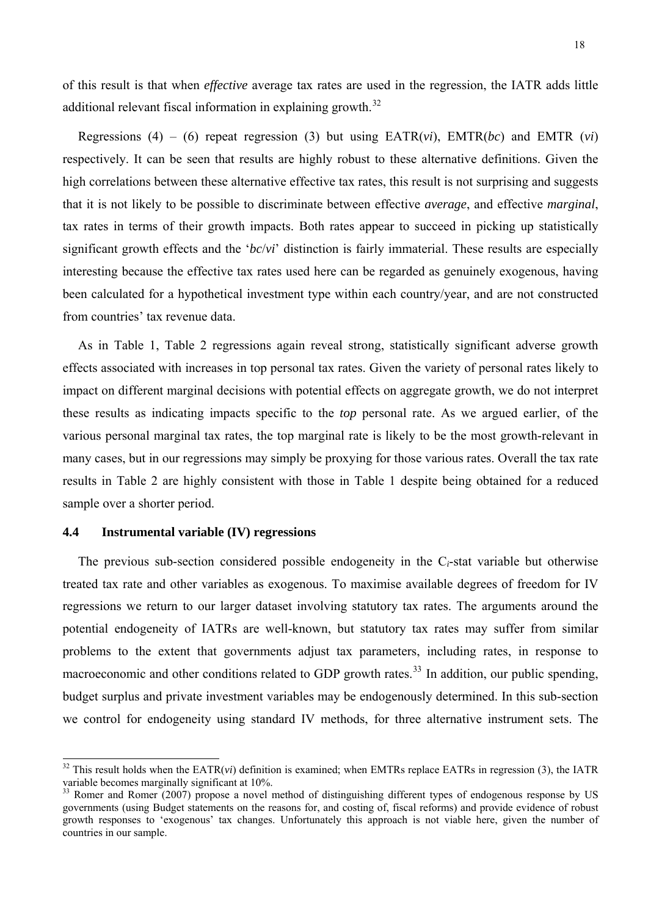<span id="page-17-0"></span>of this result is that when *effective* average tax rates are used in the regression, the IATR adds little additional relevant fiscal information in explaining growth.<sup>[32](#page-17-0)</sup>

Regressions (4) – (6) repeat regression (3) but using  $\text{EATR}(vi)$ ,  $\text{EMTR}(bc)$  and  $\text{EMTR}(vi)$ respectively. It can be seen that results are highly robust to these alternative definitions. Given the high correlations between these alternative effective tax rates, this result is not surprising and suggests that it is not likely to be possible to discriminate between effective *average*, and effective *marginal*, tax rates in terms of their growth impacts. Both rates appear to succeed in picking up statistically significant growth effects and the '*bc*/*vi*' distinction is fairly immaterial. These results are especially interesting because the effective tax rates used here can be regarded as genuinely exogenous, having been calculated for a hypothetical investment type within each country/year, and are not constructed from countries' tax revenue data.

As in Table 1, Table 2 regressions again reveal strong, statistically significant adverse growth effects associated with increases in top personal tax rates. Given the variety of personal rates likely to impact on different marginal decisions with potential effects on aggregate growth, we do not interpret these results as indicating impacts specific to the *top* personal rate. As we argued earlier, of the various personal marginal tax rates, the top marginal rate is likely to be the most growth-relevant in many cases, but in our regressions may simply be proxying for those various rates. Overall the tax rate results in Table 2 are highly consistent with those in Table 1 despite being obtained for a reduced sample over a shorter period.

# **4.4 Instrumental variable (IV) regressions**

 $\overline{\phantom{a}}$ 

The previous sub-section considered possible endogeneity in the C*i*-stat variable but otherwise treated tax rate and other variables as exogenous. To maximise available degrees of freedom for IV regressions we return to our larger dataset involving statutory tax rates. The arguments around the potential endogeneity of IATRs are well-known, but statutory tax rates may suffer from similar problems to the extent that governments adjust tax parameters, including rates, in response to macroeconomic and other conditions related to GDP growth rates.<sup>[33](#page-17-0)</sup> In addition, our public spending, budget surplus and private investment variables may be endogenously determined. In this sub-section we control for endogeneity using standard IV methods, for three alternative instrument sets. The

 $32$  This result holds when the EATR(*vi*) definition is examined; when EMTRs replace EATRs in regression (3), the IATR variable becomes marginally significant at 10%.

<sup>&</sup>lt;sup>33</sup> Romer and Romer (2007) propose a novel method of distinguishing different types of endogenous response by US governments (using Budget statements on the reasons for, and costing of, fiscal reforms) and provide evidence of robust growth responses to 'exogenous' tax changes. Unfortunately this approach is not viable here, given the number of countries in our sample.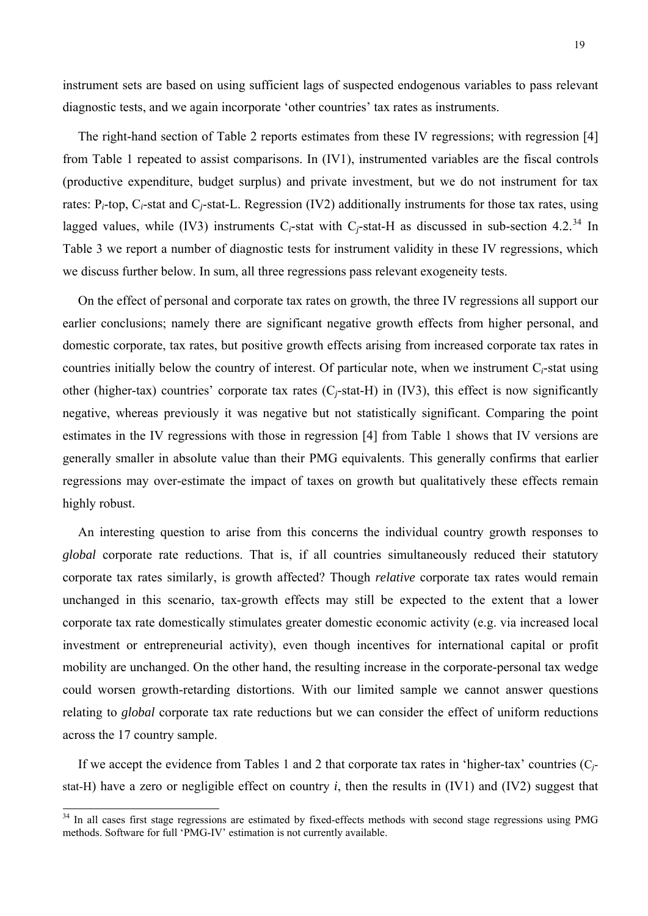<span id="page-18-0"></span>The right-hand section of Table 2 reports estimates from these IV regressions; with regression [4] from Table 1 repeated to assist comparisons. In (IV1), instrumented variables are the fiscal controls (productive expenditure, budget surplus) and private investment, but we do not instrument for tax rates: P*i*-top, C*i*-stat and C*j*-stat-L. Regression (IV2) additionally instruments for those tax rates, using lagged values, while (IV3) instruments  $C_i$ -stat with  $C_i$ -stat-H as discussed in sub-section 4.2.<sup>[34](#page-18-0)</sup> In Table 3 we report a number of diagnostic tests for instrument validity in these IV regressions, which we discuss further below. In sum, all three regressions pass relevant exogeneity tests.

On the effect of personal and corporate tax rates on growth, the three IV regressions all support our earlier conclusions; namely there are significant negative growth effects from higher personal, and domestic corporate, tax rates, but positive growth effects arising from increased corporate tax rates in countries initially below the country of interest. Of particular note, when we instrument C*i*-stat using other (higher-tax) countries' corporate tax rates (C*j*-stat-H) in (IV3), this effect is now significantly negative, whereas previously it was negative but not statistically significant. Comparing the point estimates in the IV regressions with those in regression [4] from Table 1 shows that IV versions are generally smaller in absolute value than their PMG equivalents. This generally confirms that earlier regressions may over-estimate the impact of taxes on growth but qualitatively these effects remain highly robust.

An interesting question to arise from this concerns the individual country growth responses to *global* corporate rate reductions. That is, if all countries simultaneously reduced their statutory corporate tax rates similarly, is growth affected? Though *relative* corporate tax rates would remain unchanged in this scenario, tax-growth effects may still be expected to the extent that a lower corporate tax rate domestically stimulates greater domestic economic activity (e.g. via increased local investment or entrepreneurial activity), even though incentives for international capital or profit mobility are unchanged. On the other hand, the resulting increase in the corporate-personal tax wedge could worsen growth-retarding distortions. With our limited sample we cannot answer questions relating to *global* corporate tax rate reductions but we can consider the effect of uniform reductions across the 17 country sample.

If we accept the evidence from Tables 1 and 2 that corporate tax rates in 'higher-tax' countries (C*j*stat-H) have a zero or negligible effect on country *i*, then the results in (IV1) and (IV2) suggest that

 $\overline{\phantom{a}}$ 

<sup>&</sup>lt;sup>34</sup> In all cases first stage regressions are estimated by fixed-effects methods with second stage regressions using PMG methods. Software for full 'PMG-IV' estimation is not currently available.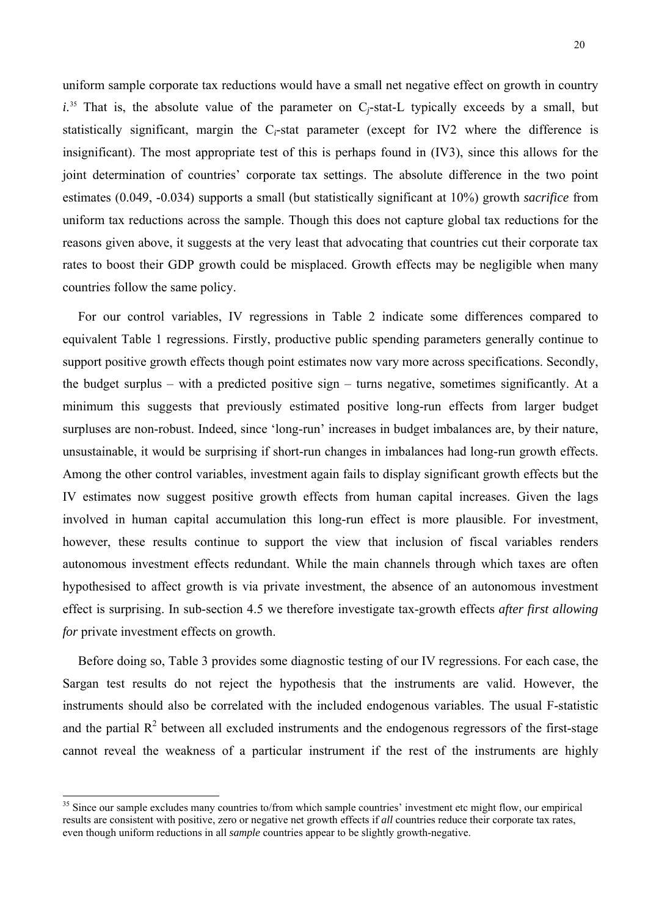<span id="page-19-0"></span>uniform sample corporate tax reductions would have a small net negative effect on growth in country  $i^{35}$  $i^{35}$  $i^{35}$  That is, the absolute value of the parameter on  $C_j$ -stat-L typically exceeds by a small, but statistically significant, margin the C*i*-stat parameter (except for IV2 where the difference is insignificant). The most appropriate test of this is perhaps found in (IV3), since this allows for the joint determination of countries' corporate tax settings. The absolute difference in the two point estimates (0.049, -0.034) supports a small (but statistically significant at 10%) growth *sacrifice* from uniform tax reductions across the sample. Though this does not capture global tax reductions for the reasons given above, it suggests at the very least that advocating that countries cut their corporate tax rates to boost their GDP growth could be misplaced. Growth effects may be negligible when many countries follow the same policy.

For our control variables, IV regressions in Table 2 indicate some differences compared to equivalent Table 1 regressions. Firstly, productive public spending parameters generally continue to support positive growth effects though point estimates now vary more across specifications. Secondly, the budget surplus – with a predicted positive sign – turns negative, sometimes significantly. At a minimum this suggests that previously estimated positive long-run effects from larger budget surpluses are non-robust. Indeed, since 'long-run' increases in budget imbalances are, by their nature, unsustainable, it would be surprising if short-run changes in imbalances had long-run growth effects. Among the other control variables, investment again fails to display significant growth effects but the IV estimates now suggest positive growth effects from human capital increases. Given the lags involved in human capital accumulation this long-run effect is more plausible. For investment, however, these results continue to support the view that inclusion of fiscal variables renders autonomous investment effects redundant. While the main channels through which taxes are often hypothesised to affect growth is via private investment, the absence of an autonomous investment effect is surprising. In sub-section 4.5 we therefore investigate tax-growth effects *after first allowing for* private investment effects on growth.

Before doing so, Table 3 provides some diagnostic testing of our IV regressions. For each case, the Sargan test results do not reject the hypothesis that the instruments are valid. However, the instruments should also be correlated with the included endogenous variables. The usual F-statistic and the partial  $R^2$  between all excluded instruments and the endogenous regressors of the first-stage cannot reveal the weakness of a particular instrument if the rest of the instruments are highly

 $\overline{\phantom{a}}$ 

<sup>&</sup>lt;sup>35</sup> Since our sample excludes many countries to/from which sample countries' investment etc might flow, our empirical results are consistent with positive, zero or negative net growth effects if *all* countries reduce their corporate tax rates, even though uniform reductions in all *sample* countries appear to be slightly growth-negative.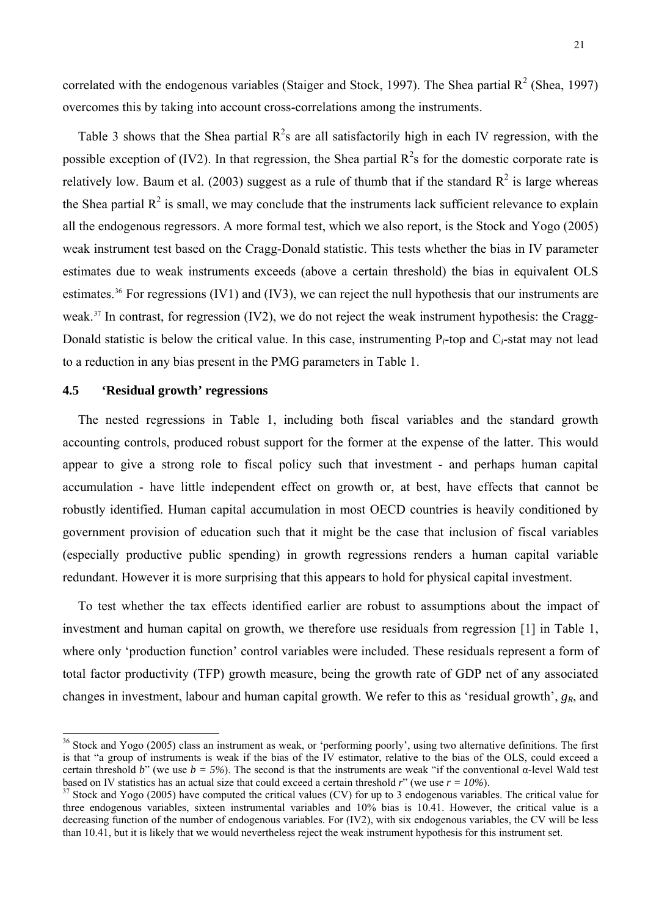<span id="page-20-0"></span>correlated with the endogenous variables (Staiger and Stock, 1997). The Shea partial  $\mathbb{R}^2$  (Shea, 1997) overcomes this by taking into account cross-correlations among the instruments.

Table 3 shows that the Shea partial  $R^2$ s are all satisfactorily high in each IV regression, with the possible exception of (IV2). In that regression, the Shea partial  $R^2$ s for the domestic corporate rate is relatively low. Baum et al. (2003) suggest as a rule of thumb that if the standard  $R^2$  is large whereas the Shea partial  $R^2$  is small, we may conclude that the instruments lack sufficient relevance to explain all the endogenous regressors. A more formal test, which we also report, is the Stock and Yogo (2005) weak instrument test based on the Cragg-Donald statistic. This tests whether the bias in IV parameter estimates due to weak instruments exceeds (above a certain threshold) the bias in equivalent OLS estimates.<sup>[36](#page-20-0)</sup> For regressions (IV1) and (IV3), we can reject the null hypothesis that our instruments are weak.<sup>[37](#page-20-0)</sup> In contrast, for regression (IV2), we do not reject the weak instrument hypothesis: the Cragg-Donald statistic is below the critical value. In this case, instrumenting P*i*-top and C*i*-stat may not lead to a reduction in any bias present in the PMG parameters in Table 1.

# **4.5 'Residual growth' regressions**

 $\overline{\phantom{a}}$ 

The nested regressions in Table 1, including both fiscal variables and the standard growth accounting controls, produced robust support for the former at the expense of the latter. This would appear to give a strong role to fiscal policy such that investment - and perhaps human capital accumulation - have little independent effect on growth or, at best, have effects that cannot be robustly identified. Human capital accumulation in most OECD countries is heavily conditioned by government provision of education such that it might be the case that inclusion of fiscal variables (especially productive public spending) in growth regressions renders a human capital variable redundant. However it is more surprising that this appears to hold for physical capital investment.

To test whether the tax effects identified earlier are robust to assumptions about the impact of investment and human capital on growth, we therefore use residuals from regression [1] in Table 1, where only 'production function' control variables were included. These residuals represent a form of total factor productivity (TFP) growth measure, being the growth rate of GDP net of any associated changes in investment, labour and human capital growth. We refer to this as 'residual growth',  $g_R$ , and

 $36$  Stock and Yogo (2005) class an instrument as weak, or 'performing poorly', using two alternative definitions. The first is that "a group of instruments is weak if the bias of the IV estimator, relative to the bias of the OLS, could exceed a certain threshold *b*" (we use *b* = 5%). The second is that the instruments are weak "if the conventional α-level Wald test based on IV statistics has an actual size that could exceed a certain threshold *r*" (we use *r* 

 $37$  Stock and Yogo (2005) have computed the critical values (CV) for up to 3 endogenous variables. The critical value for three endogenous variables, sixteen instrumental variables and 10% bias is 10.41. However, the critical value is a decreasing function of the number of endogenous variables. For (IV2), with six endogenous variables, the CV will be less than 10.41, but it is likely that we would nevertheless reject the weak instrument hypothesis for this instrument set.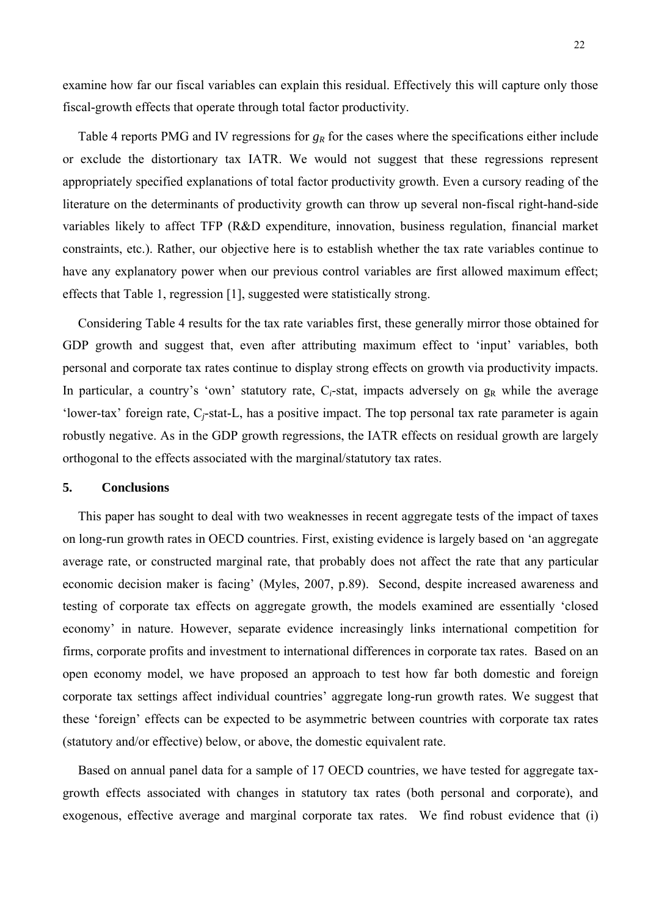examine how far our fiscal variables can explain this residual. Effectively this will capture only those fiscal-growth effects that operate through total factor productivity.

Table 4 reports PMG and IV regressions for  $g_R$  for the cases where the specifications either include or exclude the distortionary tax IATR. We would not suggest that these regressions represent appropriately specified explanations of total factor productivity growth. Even a cursory reading of the literature on the determinants of productivity growth can throw up several non-fiscal right-hand-side variables likely to affect TFP (R&D expenditure, innovation, business regulation, financial market constraints, etc.). Rather, our objective here is to establish whether the tax rate variables continue to have any explanatory power when our previous control variables are first allowed maximum effect; effects that Table 1, regression [1], suggested were statistically strong.

Considering Table 4 results for the tax rate variables first, these generally mirror those obtained for GDP growth and suggest that, even after attributing maximum effect to 'input' variables, both personal and corporate tax rates continue to display strong effects on growth via productivity impacts. In particular, a country's 'own' statutory rate,  $C_i$ -stat, impacts adversely on  $g_R$  while the average 'lower-tax' foreign rate, C*j*-stat-L, has a positive impact. The top personal tax rate parameter is again robustly negative. As in the GDP growth regressions, the IATR effects on residual growth are largely orthogonal to the effects associated with the marginal/statutory tax rates.

### **5. Conclusions**

This paper has sought to deal with two weaknesses in recent aggregate tests of the impact of taxes on long-run growth rates in OECD countries. First, existing evidence is largely based on 'an aggregate average rate, or constructed marginal rate, that probably does not affect the rate that any particular economic decision maker is facing' (Myles, 2007, p.89). Second, despite increased awareness and testing of corporate tax effects on aggregate growth, the models examined are essentially 'closed economy' in nature. However, separate evidence increasingly links international competition for firms, corporate profits and investment to international differences in corporate tax rates. Based on an open economy model, we have proposed an approach to test how far both domestic and foreign corporate tax settings affect individual countries' aggregate long-run growth rates. We suggest that these 'foreign' effects can be expected to be asymmetric between countries with corporate tax rates (statutory and/or effective) below, or above, the domestic equivalent rate.

Based on annual panel data for a sample of 17 OECD countries, we have tested for aggregate taxgrowth effects associated with changes in statutory tax rates (both personal and corporate), and exogenous, effective average and marginal corporate tax rates. We find robust evidence that (i)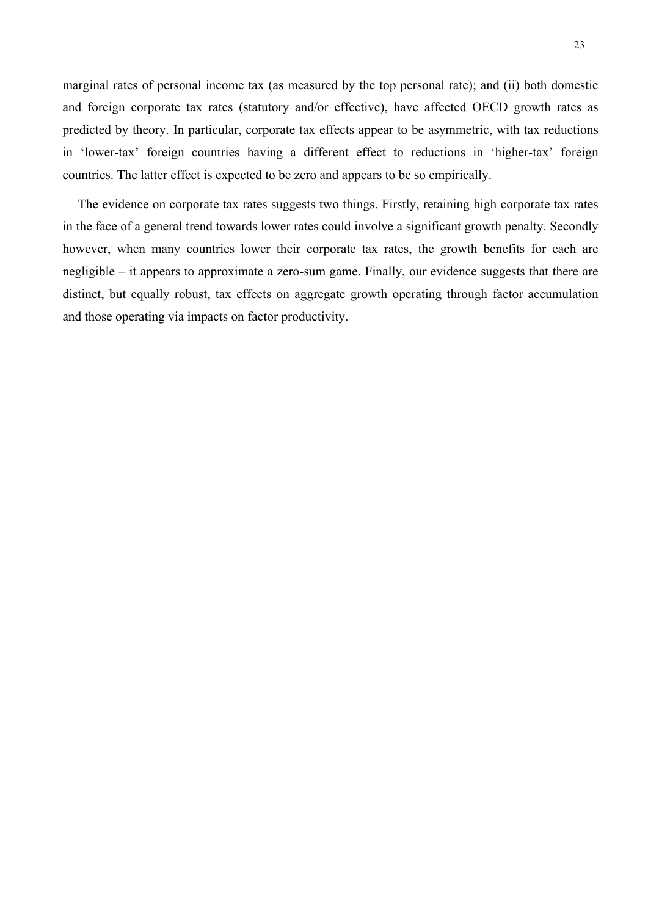marginal rates of personal income tax (as measured by the top personal rate); and (ii) both domestic and foreign corporate tax rates (statutory and/or effective), have affected OECD growth rates as predicted by theory. In particular, corporate tax effects appear to be asymmetric, with tax reductions in 'lower-tax' foreign countries having a different effect to reductions in 'higher-tax' foreign countries. The latter effect is expected to be zero and appears to be so empirically.

The evidence on corporate tax rates suggests two things. Firstly, retaining high corporate tax rates in the face of a general trend towards lower rates could involve a significant growth penalty. Secondly however, when many countries lower their corporate tax rates, the growth benefits for each are negligible – it appears to approximate a zero-sum game. Finally, our evidence suggests that there are distinct, but equally robust, tax effects on aggregate growth operating through factor accumulation and those operating via impacts on factor productivity.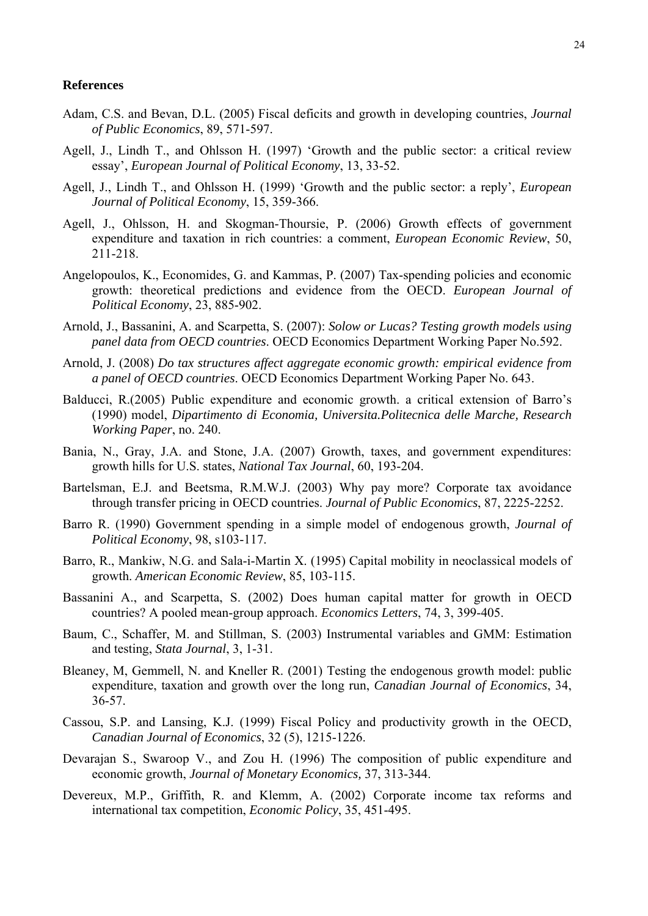#### **References**

- Adam, C.S. and Bevan, D.L. (2005) Fiscal deficits and growth in developing countries, *Journal of Public Economics*, 89, 571-597.
- Agell, J., Lindh T., and Ohlsson H. (1997) 'Growth and the public sector: a critical review essay', *European Journal of Political Economy*, 13, 33-52.
- Agell, J., Lindh T., and Ohlsson H. (1999) 'Growth and the public sector: a reply', *European Journal of Political Economy*, 15, 359-366.
- Agell, J., Ohlsson, H. and Skogman-Thoursie, P. (2006) Growth effects of government expenditure and taxation in rich countries: a comment, *European Economic Review*, 50, 211-218.
- Angelopoulos, K., Economides, G. and Kammas, P. (2007) Tax-spending policies and economic growth: theoretical predictions and evidence from the OECD. *European Journal of Political Economy*, 23, 885-902.
- Arnold, J., Bassanini, A. and Scarpetta, S. (2007): *Solow or Lucas? Testing growth models using panel data from OECD countries*. OECD Economics Department Working Paper No.592.
- Arnold, J. (2008) *Do tax structures affect aggregate economic growth: empirical evidence from a panel of OECD countries*. OECD Economics Department Working Paper No. 643.
- Balducci, R.(2005) Public expenditure and economic growth. a critical extension of Barro's (1990) model, *Dipartimento di Economia, Universita.Politecnica delle Marche, Research Working Paper*, no. 240.
- Bania, N., Gray, J.A. and Stone, J.A. (2007) Growth, taxes, and government expenditures: growth hills for U.S. states, *National Tax Journal*, 60, 193-204.
- Bartelsman, E.J. and Beetsma, R.M.W.J. (2003) Why pay more? Corporate tax avoidance through transfer pricing in OECD countries. *Journal of Public Economics*, 87, 2225-2252.
- Barro R. (1990) Government spending in a simple model of endogenous growth, *Journal of Political Economy*, 98, s103-117.
- Barro, R., Mankiw, N.G. and Sala-i-Martin X. (1995) Capital mobility in neoclassical models of growth. *American Economic Review*, 85, 103-115.
- Bassanini A., and Scarpetta, S. (2002) Does human capital matter for growth in OECD countries? A pooled mean-group approach. *Economics Letters*, 74, 3, 399-405.
- Baum, C., Schaffer, M. and Stillman, S. (2003) Instrumental variables and GMM: Estimation and testing, *Stata Journal*, 3, 1-31.
- Bleaney, M, Gemmell, N. and Kneller R. (2001) Testing the endogenous growth model: public expenditure, taxation and growth over the long run, *Canadian Journal of Economics*, 34, 36-57.
- Cassou, S.P. and Lansing, K.J. (1999) Fiscal Policy and productivity growth in the OECD, *Canadian Journal of Economics*, 32 (5), 1215-1226.
- Devarajan S., Swaroop V., and Zou H. (1996) The composition of public expenditure and economic growth, *Journal of Monetary Economics,* 37, 313-344.
- Devereux, M.P., Griffith, R. and Klemm, A. (2002) Corporate income tax reforms and international tax competition, *Economic Policy*, 35, 451-495.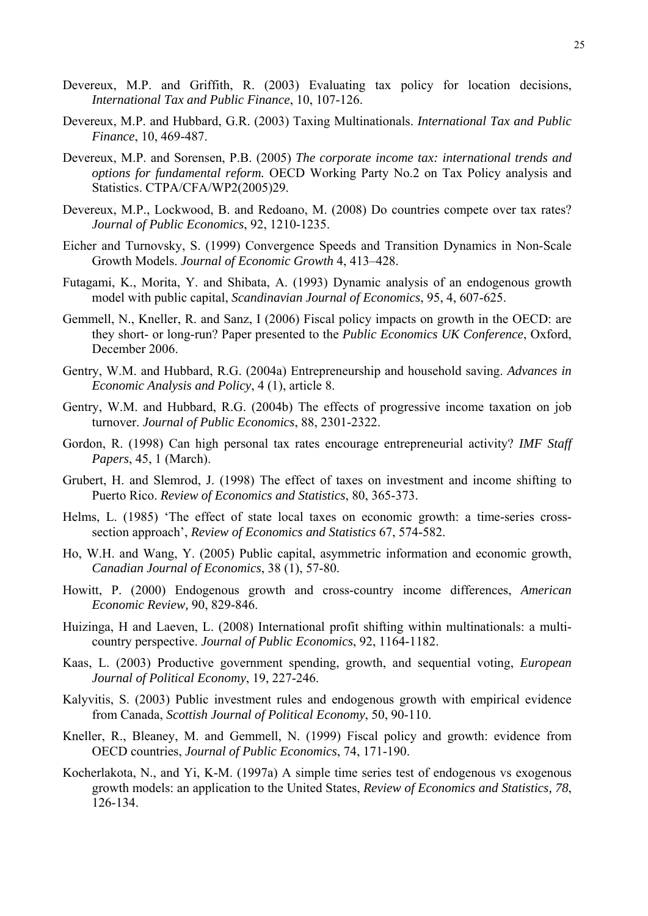- Devereux, M.P. and Griffith, R. (2003) [Evaluating tax policy for location decisions](http://ideas.repec.org/a/kap/itaxpf/v10y2003i2p107-26.html), *[International Tax and Public Finance](http://ideas.repec.org/s/kap/itaxpf.html)*, 10, 107-126.
- Devereux, M.P. and Hubbard, G.R. (2003) Taxing Multinationals. *International Tax and Public Finance*, 10, 469-487.
- Devereux, M.P. and Sorensen, P.B. (2005) *The corporate income tax: international trends and options for fundamental reform.* OECD Working Party No.2 on Tax Policy analysis and Statistics. CTPA/CFA/WP2(2005)29.
- Devereux, M.P., Lockwood, B. and Redoano, M. (2008) Do countries compete over tax rates? *Journal of Public Economics*, 92, 1210-1235.
- Eicher and Turnovsky, S. (1999) Convergence Speeds and Transition Dynamics in Non-Scale Growth Models. *Journal of Economic Growth* 4, 413–428.
- Futagami, K., Morita, Y. and Shibata, A. (1993) Dynamic analysis of an endogenous growth model with public capital, *Scandinavian Journal of Economics*, 95, 4, 607-625.
- Gemmell, N., Kneller, R. and Sanz, I (2006) Fiscal policy impacts on growth in the OECD: are they short- or long-run? Paper presented to the *Public Economics UK Conference*, Oxford, December 2006.
- Gentry, W.M. and Hubbard, R.G. (2004a) Entrepreneurship and household saving. *Advances in Economic Analysis and Policy*, 4 (1), article 8.
- Gentry, W.M. and Hubbard, R.G. (2004b) The effects of progressive income taxation on job turnover. *Journal of Public Economics*, 88, 2301-2322.
- Gordon, R. (1998) Can high personal tax rates encourage entrepreneurial activity? *IMF Staff Papers*, 45, 1 (March).
- Grubert, H. and Slemrod, J. (1998) The effect of taxes on investment and income shifting to Puerto Rico. *Review of Economics and Statistics*, 80, 365-373.
- Helms, L. (1985) 'The effect of state local taxes on economic growth: a time-series crosssection approach', *Review of Economics and Statistics* 67, 574-582.
- Ho, W.H. and Wang, Y. (2005) Public capital, asymmetric information and economic growth, *Canadian Journal of Economics*, 38 (1), 57-80.
- Howitt, P. (2000) Endogenous growth and cross-country income differences, *American Economic Review,* 90, 829-846.
- Huizinga, H and Laeven, L. (2008) International profit shifting within multinationals: a multicountry perspective. *Journal of Public Economics*, 92, 1164-1182.
- Kaas, L. (2003) Productive government spending, growth, and sequential voting, *European Journal of Political Economy*, 19, 227-246.
- Kalyvitis, S. (2003) Public investment rules and endogenous growth with empirical evidence from Canada, *Scottish Journal of Political Economy*, 50, 90-110.
- Kneller, R., Bleaney, M. and Gemmell, N. (1999) Fiscal policy and growth: evidence from OECD countries, *Journal of Public Economics*, 74, 171-190.
- Kocherlakota, N., and Yi, K-M. (1997a) A simple time series test of endogenous vs exogenous growth models: an application to the United States, *Review of Economics and Statistics, 78*, 126-134.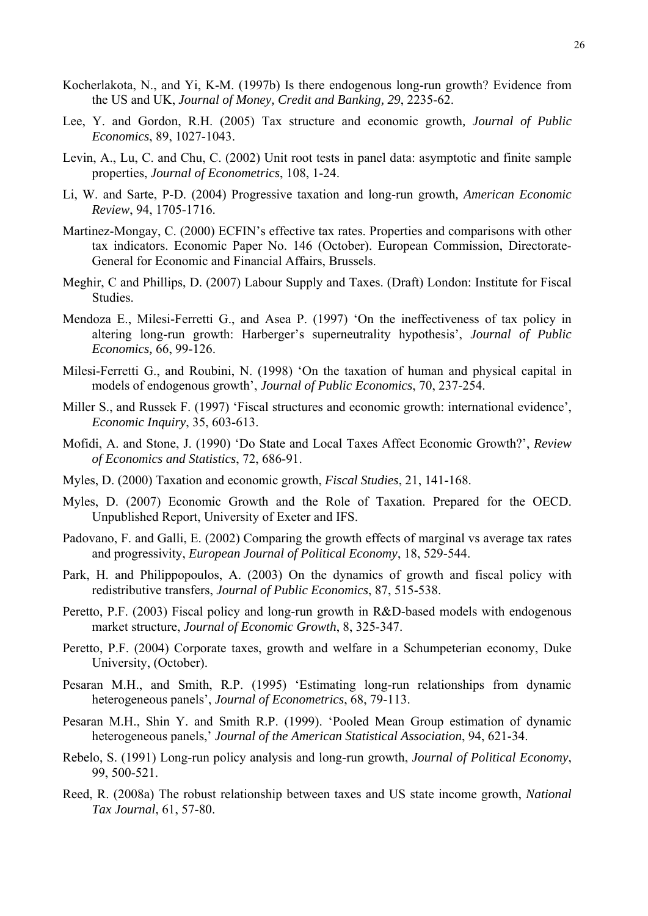- Kocherlakota, N., and Yi, K-M. (1997b) Is there endogenous long-run growth? Evidence from the US and UK, *Journal of Money, Credit and Banking, 29*, 2235-62.
- Lee, Y. and Gordon, R.H. (2005) Tax structure and economic growth*, Journal of Public Economics*, 89, 1027-1043.
- Levin, A., Lu, C. and Chu, C. (2002) Unit root tests in panel data: asymptotic and finite sample properties, *Journal of Econometrics*, 108, 1-24.
- Li, W. and Sarte, P-D. (2004) Progressive taxation and long-run growth*, American Economic Review*, 94, 1705-1716.
- Martinez-Mongay, C. (2000) ECFIN's effective tax rates. Properties and comparisons with other tax indicators. Economic Paper No. 146 (October). European Commission, Directorate-General for Economic and Financial Affairs, Brussels.
- Meghir, C and Phillips, D. (2007) Labour Supply and Taxes. (Draft) London: Institute for Fiscal Studies.
- Mendoza E., Milesi-Ferretti G., and Asea P. (1997) 'On the ineffectiveness of tax policy in altering long-run growth: Harberger's superneutrality hypothesis', *Journal of Public Economics,* 66, 99-126.
- Milesi-Ferretti G., and Roubini, N. (1998) 'On the taxation of human and physical capital in models of endogenous growth', *Journal of Public Economics*, 70, 237-254.
- Miller S., and Russek F. (1997) 'Fiscal structures and economic growth: international evidence', *Economic Inquiry*, 35, 603-613.
- Mofidi, A. and Stone, J. (1990) 'Do State and Local Taxes Affect Economic Growth?', *Review of Economics and Statistics*, 72, 686-91.
- Myles, D. (2000) Taxation and economic growth, *Fiscal Studies*, 21, 141-168.
- Myles, D. (2007) Economic Growth and the Role of Taxation. Prepared for the OECD. Unpublished Report, University of Exeter and IFS.
- Padovano, F. and Galli, E. (2002) Comparing the growth effects of marginal vs average tax rates and progressivity, *European Journal of Political Economy*, 18, 529-544.
- Park, H. and Philippopoulos, A. (2003) On the dynamics of growth and fiscal policy with redistributive transfers, *Journal of Public Economics*, 87, 515-538.
- Peretto, P.F. (2003) Fiscal policy and long-run growth in R&D-based models with endogenous market structure, *Journal of Economic Growth*, 8, 325-347.
- Peretto, P.F. (2004) Corporate taxes, growth and welfare in a Schumpeterian economy, Duke University, (October).
- Pesaran M.H., and Smith, R.P. (1995) 'Estimating long-run relationships from dynamic heterogeneous panels', *Journal of Econometrics*, 68, 79-113.
- Pesaran M.H., Shin Y. and Smith R.P. (1999). 'Pooled Mean Group estimation of dynamic heterogeneous panels,' *Journal of the American Statistical Association*, 94, 621-34.
- Rebelo, S. (1991) Long-run policy analysis and long-run growth, *Journal of Political Economy*, 99, 500-521.
- Reed, R. (2008a) The robust relationship between taxes and US state income growth, *National Tax Journal*, 61, 57-80.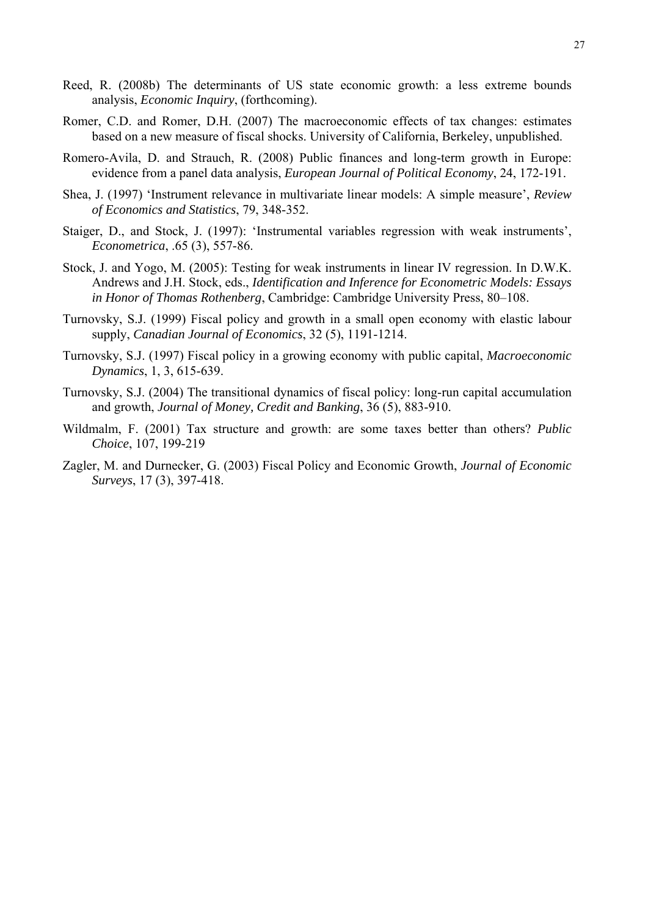- Reed, R. (2008b) The determinants of US state economic growth: a less extreme bounds analysis, *Economic Inquiry*, (forthcoming).
- Romer, C.D. and Romer, D.H. (2007) The macroeconomic effects of tax changes: estimates based on a new measure of fiscal shocks. University of California, Berkeley, unpublished.
- Romero-Avila, D. and Strauch, R. (2008) Public finances and long-term growth in Europe: evidence from a panel data analysis, *European Journal of Political Economy*, 24, 172-191.
- Shea, J. (1997) 'Instrument relevance in multivariate linear models: A simple measure', *Review of Economics and Statistics*, 79, 348-352.
- Staiger, D., and Stock, J. (1997): 'Instrumental variables regression with weak instruments', *Econometrica*, .65 (3), 557-86.
- Stock, J. and Yogo, M. (2005): Testing for weak instruments in linear IV regression. In D.W.K. Andrews and J.H. Stock, eds., *Identification and Inference for Econometric Models: Essays in Honor of Thomas Rothenberg*, Cambridge: Cambridge University Press, 80–108.
- Turnovsky, S.J. (1999) Fiscal policy and growth in a small open economy with elastic labour supply, *Canadian Journal of Economics*, 32 (5), 1191-1214.
- Turnovsky, S.J. (1997) Fiscal policy in a growing economy with public capital, *Macroeconomic Dynamics*, 1, 3, 615-639.
- Turnovsky, S.J. (2004) The transitional dynamics of fiscal policy: long-run capital accumulation and growth, *Journal of Money, Credit and Banking*, 36 (5), 883-910.
- Wildmalm, F. (2001) Tax structure and growth: are some taxes better than others? *Public Choice*, 107, 199-219
- Zagler, M. and Durnecker, G. (2003) Fiscal Policy and Economic Growth, *Journal of Economic Surveys*, 17 (3), 397-418.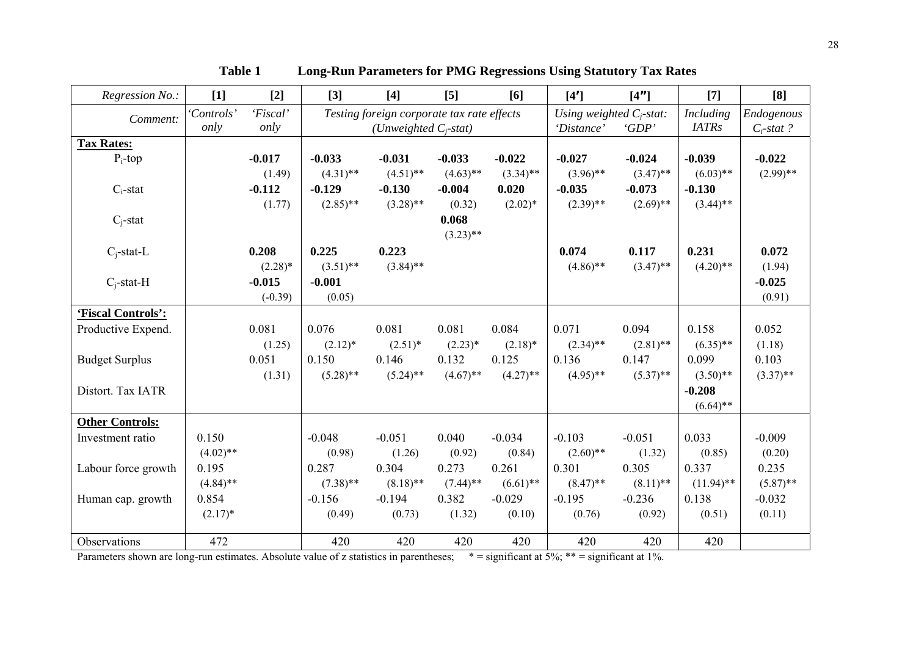| Regression No.:        | $[1]$       | $[2]$      | $[3]$                                      | $[4]$       | $[5]$       | [6]                         | [4']        | [4 <sup>n</sup> ] | $[7]$         | [8]         |
|------------------------|-------------|------------|--------------------------------------------|-------------|-------------|-----------------------------|-------------|-------------------|---------------|-------------|
| Comment:               | 'Controls'  | 'Fiscal'   | Testing foreign corporate tax rate effects |             |             | Using weighted $C_i$ -stat: |             | <b>Including</b>  | Endogenous    |             |
|                        | only        | only       | (Unweighted $C_i$ -stat)                   |             |             | 'Distance'                  | 'GDP'       | <b>IATRs</b>      | $C_i$ -stat ? |             |
| <b>Tax Rates:</b>      |             |            |                                            |             |             |                             |             |                   |               |             |
| $P_i$ -top             |             | $-0.017$   | $-0.033$                                   | $-0.031$    | $-0.033$    | $-0.022$                    | $-0.027$    | $-0.024$          | $-0.039$      | $-0.022$    |
|                        |             | (1.49)     | $(4.31)$ **                                | $(4.51)$ ** | $(4.63)$ ** | $(3.34)$ **                 | $(3.96)$ ** | $(3.47)$ **       | $(6.03)$ **   | $(2.99)$ ** |
| $C_i$ -stat            |             | $-0.112$   | $-0.129$                                   | $-0.130$    | $-0.004$    | 0.020                       | $-0.035$    | $-0.073$          | $-0.130$      |             |
|                        |             | (1.77)     | $(2.85)$ **                                | $(3.28)$ ** | (0.32)      | $(2.02)^*$                  | $(2.39)$ ** | $(2.69)$ **       | $(3.44)$ **   |             |
| $C_i$ -stat            |             |            |                                            |             | 0.068       |                             |             |                   |               |             |
|                        |             |            |                                            |             | $(3.23)$ ** |                             |             |                   |               |             |
| $C_i$ -stat-L          |             | 0.208      | 0.225                                      | 0.223       |             |                             | 0.074       | 0.117             | 0.231         | 0.072       |
|                        |             | $(2.28)$ * | $(3.51)$ **                                | $(3.84)$ ** |             |                             | $(4.86)$ ** | $(3.47)$ **       | $(4.20)$ **   | (1.94)      |
| $C_i$ -stat-H          |             | $-0.015$   | $-0.001$                                   |             |             |                             |             |                   |               | $-0.025$    |
|                        |             | $(-0.39)$  | (0.05)                                     |             |             |                             |             |                   |               | (0.91)      |
| 'Fiscal Controls':     |             |            |                                            |             |             |                             |             |                   |               |             |
| Productive Expend.     |             | 0.081      | 0.076                                      | 0.081       | 0.081       | 0.084                       | 0.071       | 0.094             | 0.158         | 0.052       |
|                        |             | (1.25)     | $(2.12)^*$                                 | $(2.51)^*$  | $(2.23)*$   | $(2.18)$ *                  | $(2.34)$ ** | $(2.81)$ **       | $(6.35)$ **   | (1.18)      |
| <b>Budget Surplus</b>  |             | 0.051      | 0.150                                      | 0.146       | 0.132       | 0.125                       | 0.136       | 0.147             | 0.099         | 0.103       |
|                        |             | (1.31)     | $(5.28)$ **                                | $(5.24)$ ** | $(4.67)$ ** | $(4.27)$ **                 | $(4.95)$ ** | $(5.37)$ **       | $(3.50)$ **   | $(3.37)$ ** |
| Distort. Tax IATR      |             |            |                                            |             |             |                             |             |                   | $-0.208$      |             |
|                        |             |            |                                            |             |             |                             |             |                   | $(6.64)$ **   |             |
| <b>Other Controls:</b> |             |            |                                            |             |             |                             |             |                   |               |             |
| Investment ratio       | 0.150       |            | $-0.048$                                   | $-0.051$    | 0.040       | $-0.034$                    | $-0.103$    | $-0.051$          | 0.033         | $-0.009$    |
|                        | $(4.02)$ ** |            | (0.98)                                     | (1.26)      | (0.92)      | (0.84)                      | $(2.60)$ ** | (1.32)            | (0.85)        | (0.20)      |
| Labour force growth    | 0.195       |            | 0.287                                      | 0.304       | 0.273       | 0.261                       | 0.301       | 0.305             | 0.337         | 0.235       |
|                        | $(4.84)$ ** |            | $(7.38)$ **                                | $(8.18)$ ** | $(7.44)$ ** | $(6.61)$ **                 | $(8.47)$ ** | $(8.11)$ **       | $(11.94)$ **  | $(5.87)$ ** |
| Human cap. growth      | 0.854       |            | $-0.156$                                   | $-0.194$    | 0.382       | $-0.029$                    | $-0.195$    | $-0.236$          | 0.138         | $-0.032$    |
|                        | $(2.17)^*$  |            | (0.49)                                     | (0.73)      | (1.32)      | (0.10)                      | (0.76)      | (0.92)            | (0.51)        | (0.11)      |
|                        |             |            |                                            |             |             |                             |             |                   |               |             |
| Observations           | 472         |            | 420                                        | 420         | 420         | 420                         | 420         | 420               | 420           |             |

**Table 1 Long-Run Parameters for PMG Regressions Using Statutory Tax Rates**

Parameters shown are long-run estimates. Absolute value of z statistics in parentheses; \* = significant at 5%; \*\* = significant at 1%.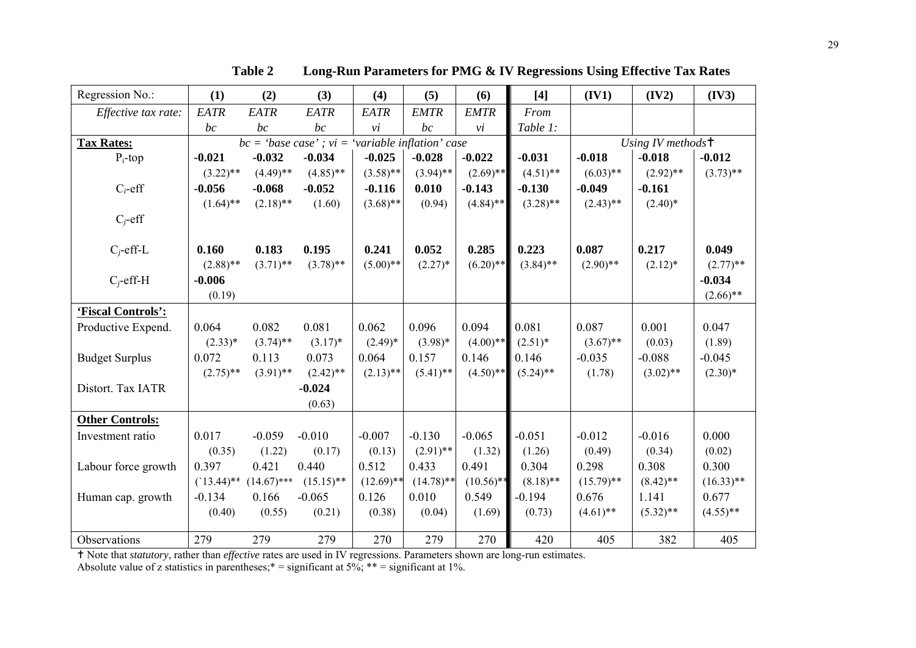| Regression No.:        | (1)          | (2)           | (3)                                                   | (4)          | (5)          | (6)                    | $[4]$       | (IV1)                           | (IV2)       | (IV3)        |
|------------------------|--------------|---------------|-------------------------------------------------------|--------------|--------------|------------------------|-------------|---------------------------------|-------------|--------------|
| Effective tax rate:    | EATR         | EATR          | EATR                                                  | EATR         | <b>EMTR</b>  | <b>EMTR</b>            | From        |                                 |             |              |
|                        | bc           | bc            | bc                                                    | $\dot{vi}$   | bc           | $\mathcal{V}$ <i>i</i> | Table 1:    |                                 |             |              |
| <b>Tax Rates:</b>      |              |               | $bc = 'base case'$ ; $vi = 'variable inflation' case$ |              |              |                        |             | Using IV methods $\overline{t}$ |             |              |
| $P_i$ -top             | $-0.021$     | $-0.032$      | $-0.034$                                              | $-0.025$     | $-0.028$     | $-0.022$               | $-0.031$    | $-0.018$                        | $-0.018$    | $-0.012$     |
|                        | $(3.22)$ **  | $(4.49)$ **   | $(4.85)$ **                                           | $(3.58)$ **  | $(3.94)$ **  | $(2.69)$ **            | $(4.51)$ ** | $(6.03)$ **                     | $(2.92)$ ** | $(3.73)$ **  |
| $C_i$ -eff             | $-0.056$     | $-0.068$      | $-0.052$                                              | $-0.116$     | 0.010        | $-0.143$               | $-0.130$    | $-0.049$                        | $-0.161$    |              |
|                        | $(1.64)$ **  | $(2.18)$ **   | (1.60)                                                | $(3.68)$ **  | (0.94)       | $(4.84)$ **            | $(3.28)$ ** | $(2.43)$ **                     | $(2.40)^*$  |              |
| $C_i$ -eff             |              |               |                                                       |              |              |                        |             |                                 |             |              |
|                        |              |               |                                                       |              |              |                        |             |                                 |             |              |
| $C_i$ -eff-L           | 0.160        | 0.183         | 0.195                                                 | 0.241        | 0.052        | 0.285                  | 0.223       | 0.087                           | 0.217       | 0.049        |
|                        | $(2.88)$ **  | $(3.71)$ **   | $(3.78)$ **                                           | $(5.00)$ **  | $(2.27)^*$   | $(6.20)$ **            | $(3.84)$ ** | $(2.90)$ **                     | $(2.12)^*$  | $(2.77)$ **  |
| $C_i$ -eff-H           | $-0.006$     |               |                                                       |              |              |                        |             |                                 |             | $-0.034$     |
|                        | (0.19)       |               |                                                       |              |              |                        |             |                                 |             | $(2.66)$ **  |
| 'Fiscal Controls':     |              |               |                                                       |              |              |                        |             |                                 |             |              |
| Productive Expend.     | 0.064        | 0.082         | 0.081                                                 | 0.062        | 0.096        | 0.094                  | 0.081       | 0.087                           | 0.001       | 0.047        |
|                        | $(2.33)*$    | $(3.74)$ **   | $(3.17)^*$                                            | $(2.49)^*$   | $(3.98)*$    | $(4.00)$ **            | $(2.51)^*$  | $(3.67)$ **                     | (0.03)      | (1.89)       |
| <b>Budget Surplus</b>  | 0.072        | 0.113         | 0.073                                                 | 0.064        | 0.157        | 0.146                  | 0.146       | $-0.035$                        | $-0.088$    | $-0.045$     |
|                        | $(2.75)$ **  | $(3.91)$ **   | $(2.42)$ **                                           | $(2.13)$ **  | $(5.41)$ **  | $(4.50)$ **            | $(5.24)$ ** | (1.78)                          | $(3.02)$ ** | $(2.30)*$    |
| Distort. Tax IATR      |              |               | $-0.024$                                              |              |              |                        |             |                                 |             |              |
|                        |              |               | (0.63)                                                |              |              |                        |             |                                 |             |              |
| <b>Other Controls:</b> |              |               |                                                       |              |              |                        |             |                                 |             |              |
| Investment ratio       | 0.017        | $-0.059$      | $-0.010$                                              | $-0.007$     | $-0.130$     | $-0.065$               | $-0.051$    | $-0.012$                        | $-0.016$    | 0.000        |
|                        | (0.35)       | (1.22)        | (0.17)                                                | (0.13)       | $(2.91)$ **  | (1.32)                 | (1.26)      | (0.49)                          | (0.34)      | (0.02)       |
| Labour force growth    | 0.397        | 0.421         | 0.440                                                 | 0.512        | 0.433        | 0.491                  | 0.304       | 0.298                           | 0.308       | 0.300        |
|                        | $(13.44)$ ** | $(14.67)$ *** | $(15.15)$ **                                          | $(12.69)$ ** | $(14.78)$ ** | $(10.56)$ **           | $(8.18)$ ** | $(15.79)$ **                    | $(8.42)$ ** | $(16.33)$ ** |
| Human cap. growth      | $-0.134$     | 0.166         | $-0.065$                                              | 0.126        | 0.010        | 0.549                  | $-0.194$    | 0.676                           | 1.141       | 0.677        |
|                        | (0.40)       | (0.55)        | (0.21)                                                | (0.38)       | (0.04)       | (1.69)                 | (0.73)      | $(4.61)$ **                     | $(5.32)$ ** | $(4.55)$ **  |
|                        |              |               |                                                       |              |              |                        |             |                                 |             |              |
| Observations           | 279          | 279           | 279                                                   | 270          | 279          | 270                    | 420         | 405                             | 382         | 405          |

**Table 2 Long-Run Parameters for PMG & IV Regressions Using Effective Tax Rates** 

g Note that *statutory*, rather than *effective* rates are used in IV regressions. Parameters shown are long-run estimates.

Absolute value of z statistics in parentheses;  $* =$  significant at 5%;  $** =$  significant at 1%.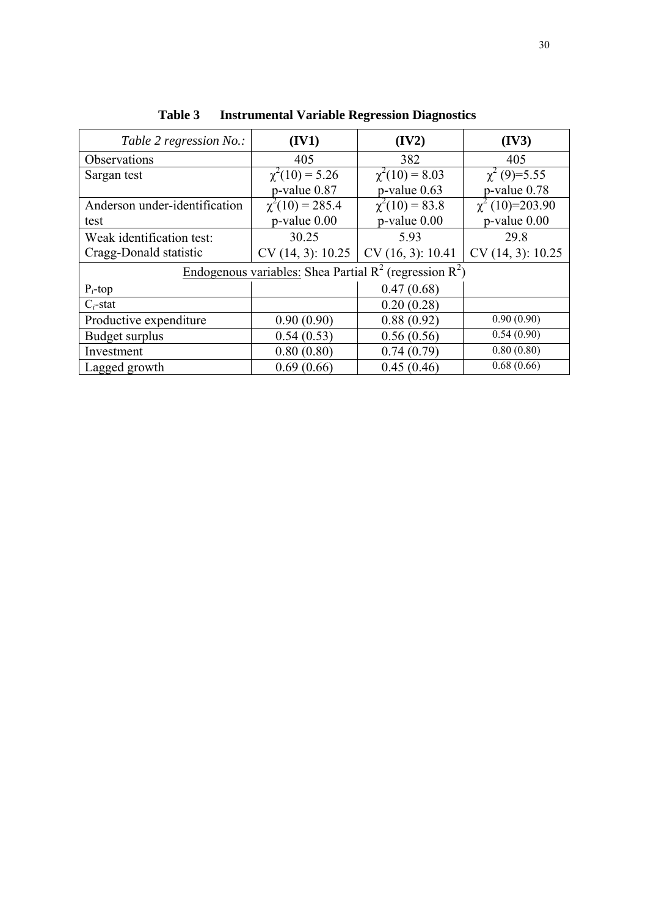| Table 2 regression No.:                                      | (IV1)                | (IV2)               | (IV3)               |  |  |
|--------------------------------------------------------------|----------------------|---------------------|---------------------|--|--|
| Observations                                                 | 405                  | 382                 | 405                 |  |  |
| Sargan test                                                  | $\chi^2(10) = 5.26$  | $\chi^2(10) = 8.03$ | $\chi^2$ (9)=5.55   |  |  |
|                                                              | p-value 0.87         | $p$ -value $0.63$   | p-value 0.78        |  |  |
| Anderson under-identification                                | $\chi^2(10) = 285.4$ | $\chi^2(10) = 83.8$ | $\chi^2(10)=203.90$ |  |  |
| test                                                         | $p$ -value $0.00$    | $p$ -value $0.00$   | p-value 0.00        |  |  |
| Weak identification test:                                    | 30.25                | 5.93                | 29.8                |  |  |
| Cragg-Donald statistic                                       | CV(14, 3): 10.25     | CV(16, 3): 10.41    | CV(14, 3): 10.25    |  |  |
| Endogenous variables: Shea Partial $R^2$ (regression $R^2$ ) |                      |                     |                     |  |  |
| $P_i$ -top                                                   |                      | 0.47(0.68)          |                     |  |  |
| $C_i$ -stat                                                  |                      | 0.20(0.28)          |                     |  |  |
| Productive expenditure                                       | 0.90(0.90)           | 0.88(0.92)          | 0.90(0.90)          |  |  |
| Budget surplus                                               | 0.54(0.53)           | 0.56(0.56)          | 0.54(0.90)          |  |  |
| Investment                                                   | 0.80(0.80)           | 0.74(0.79)          | 0.80(0.80)          |  |  |
| Lagged growth                                                | 0.69(0.66)           | 0.45(0.46)          | 0.68(0.66)          |  |  |

**Table 3 Instrumental Variable Regression Diagnostics**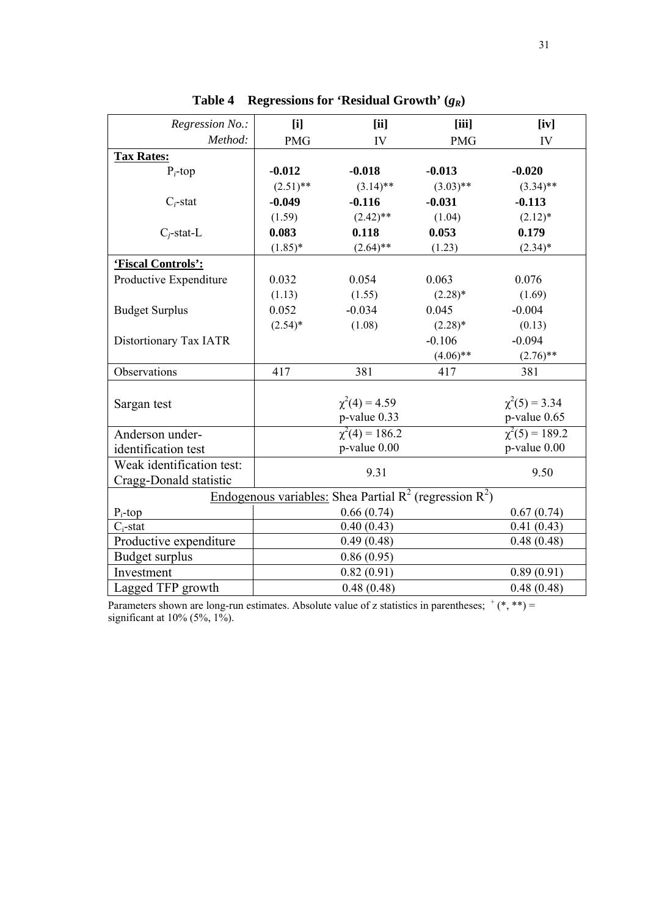| Regression No.:                                              | [i]         | [ii]                                | [iii]               | [iv]               |  |  |  |
|--------------------------------------------------------------|-------------|-------------------------------------|---------------------|--------------------|--|--|--|
| Method:                                                      | <b>PMG</b>  | IV                                  | <b>PMG</b>          | IV                 |  |  |  |
| <b>Tax Rates:</b>                                            |             |                                     |                     |                    |  |  |  |
| $P_i$ -top                                                   | $-0.012$    | $-0.018$                            | $-0.013$            | $-0.020$           |  |  |  |
|                                                              | $(2.51)$ ** | $(3.14)$ **                         | $(3.03)$ **         | $(3.34)$ **        |  |  |  |
| $C_i$ -stat                                                  | $-0.049$    | $-0.116$                            | $-0.031$            | $-0.113$           |  |  |  |
|                                                              | (1.59)      | $(2.42)$ **                         | (1.04)              | $(2.12)^*$         |  |  |  |
| $C_i$ -stat-L                                                | 0.083       | 0.118                               | 0.053               | 0.179              |  |  |  |
|                                                              | $(1.85)^*$  | $(2.64)$ **                         | (1.23)              | $(2.34)*$          |  |  |  |
| 'Fiscal Controls':                                           |             |                                     |                     |                    |  |  |  |
| Productive Expenditure                                       | 0.032       | 0.054                               | 0.063               | 0.076              |  |  |  |
|                                                              | (1.13)      | (1.55)                              | $(2.28)$ *          | (1.69)             |  |  |  |
| <b>Budget Surplus</b>                                        | 0.052       | $-0.034$                            | 0.045               | $-0.004$           |  |  |  |
|                                                              | $(2.54)$ *  | (1.08)                              | $(2.28)$ *          | (0.13)             |  |  |  |
| Distortionary Tax IATR                                       |             |                                     | $-0.106$            | $-0.094$           |  |  |  |
|                                                              |             |                                     | $(4.06)$ **         | $(2.76)$ **        |  |  |  |
| Observations                                                 | 417         | 381                                 | 417                 | 381                |  |  |  |
|                                                              |             |                                     |                     |                    |  |  |  |
| Sargan test                                                  |             | $\chi^2(4) = 4.59$                  |                     | $\chi^2(5) = 3.34$ |  |  |  |
|                                                              |             | p-value 0.33<br>$\chi^2(4) = 186.2$ |                     | p-value 0.65       |  |  |  |
| Anderson under-                                              |             |                                     | $\chi^2(5) = 189.2$ |                    |  |  |  |
| identification test                                          |             | p-value 0.00                        |                     | p-value 0.00       |  |  |  |
| Weak identification test:                                    |             | 9.31                                |                     | 9.50               |  |  |  |
| Cragg-Donald statistic                                       |             |                                     |                     |                    |  |  |  |
| Endogenous variables: Shea Partial $R^2$ (regression $R^2$ ) |             |                                     |                     |                    |  |  |  |
| $P_i$ -top                                                   |             | 0.67(0.74)                          |                     |                    |  |  |  |
| $C_i$ -stat                                                  |             | 0.41(0.43)                          |                     |                    |  |  |  |
| Productive expenditure                                       |             | 0.49(0.48)                          |                     | 0.48(0.48)         |  |  |  |
| Budget surplus                                               |             | 0.86(0.95)                          |                     |                    |  |  |  |
| Investment                                                   |             | 0.82(0.91)                          |                     | 0.89(0.91)         |  |  |  |
| Lagged TFP growth                                            |             | 0.48(0.48)                          |                     | 0.48(0.48)         |  |  |  |

**Table 4 Regressions for 'Residual Growth' (***gR***)** 

Parameters shown are long-run estimates. Absolute value of z statistics in parentheses;  $^+(*, **)$  = significant at  $10\%$  (5%, 1%).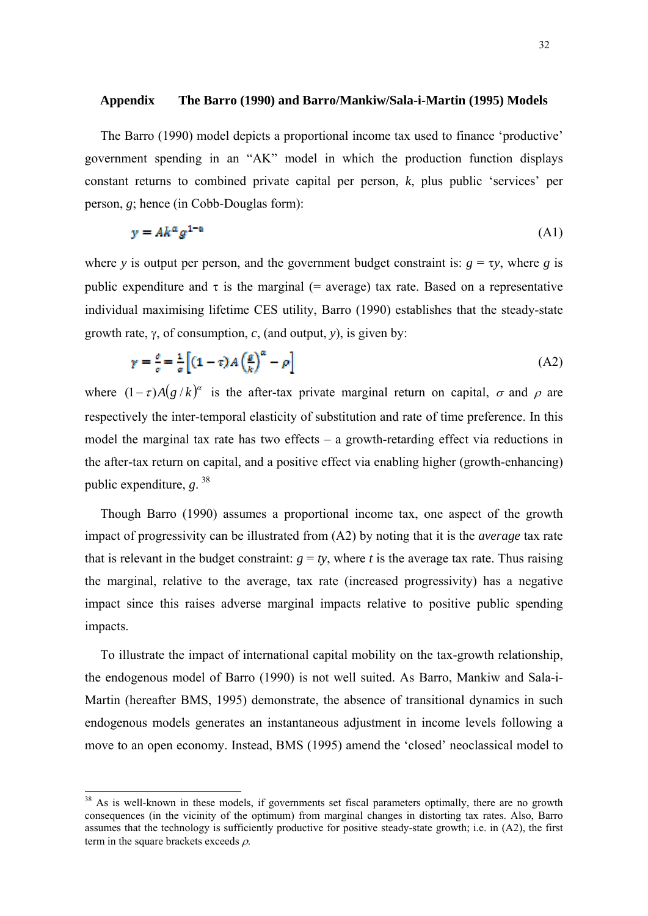### <span id="page-31-0"></span>**Appendix The Barro (1990) and Barro/Mankiw/Sala-i-Martin (1995) Models**

The Barro (1990) model depicts a proportional income tax used to finance 'productive' government spending in an "AK" model in which the production function displays constant returns to combined private capital per person, *k*, plus public 'services' per person, *g*; hence (in Cobb-Douglas form):

$$
y = Ak^{\alpha}g^{1-\alpha} \tag{A1}
$$

where *y* is output per person, and the government budget constraint is:  $g = \tau y$ , where *g* is public expenditure and  $\tau$  is the marginal (= average) tax rate. Based on a representative individual maximising lifetime CES utility, Barro (1990) establishes that the steady-state growth rate, γ, of consumption, *c*, (and output, *y*), is given by:

$$
\gamma = \frac{c}{\sigma} = \frac{1}{\sigma} \left[ (1 - \tau) A \left( \frac{g}{k} \right)^{\alpha} - \rho \right]
$$
(A2)

where  $(1 - \tau)A(g/k)^{\alpha}$  is the after-tax private marginal return on capital,  $\sigma$  and  $\rho$  are respectively the inter-temporal elasticity of substitution and rate of time preference. In this model the marginal tax rate has two effects – a growth-retarding effect via reductions in the after-tax return on capital, and a positive effect via enabling higher (growth-enhancing) public expenditure, *g*. [38](#page-31-0)

Though Barro (1990) assumes a proportional income tax, one aspect of the growth impact of progressivity can be illustrated from (A2) by noting that it is the *average* tax rate that is relevant in the budget constraint:  $g = ty$ , where *t* is the average tax rate. Thus raising the marginal, relative to the average, tax rate (increased progressivity) has a negative impact since this raises adverse marginal impacts relative to positive public spending impacts.

To illustrate the impact of international capital mobility on the tax-growth relationship, the endogenous model of Barro (1990) is not well suited. As Barro, Mankiw and Sala-i-Martin (hereafter BMS, 1995) demonstrate, the absence of transitional dynamics in such endogenous models generates an instantaneous adjustment in income levels following a move to an open economy. Instead, BMS (1995) amend the 'closed' neoclassical model to

-

<sup>&</sup>lt;sup>38</sup> As is well-known in these models, if governments set fiscal parameters optimally, there are no growth consequences (in the vicinity of the optimum) from marginal changes in distorting tax rates. Also, Barro assumes that the technology is sufficiently productive for positive steady-state growth; i.e. in (A2), the first term in the square brackets exceeds  $\rho$ .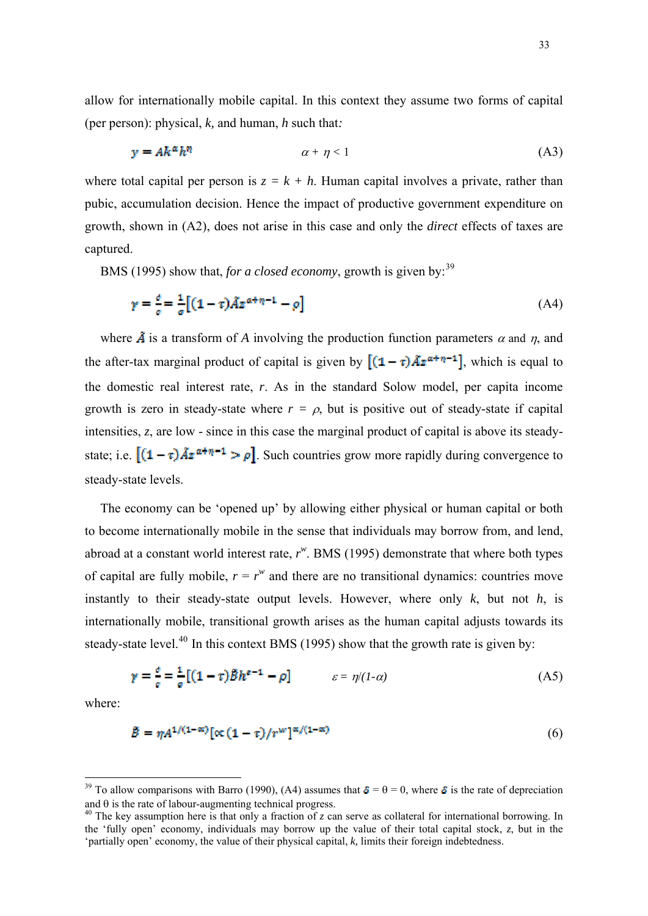<span id="page-32-0"></span>allow for internationally mobile capital. In this context they assume two forms of capital (per person): physical, *k,* and human, *h* such that*:*

$$
y = Ak^{\alpha}h^{\eta} \qquad \alpha + \eta < 1 \tag{A3}
$$

where total capital per person is  $z = k + h$ . Human capital involves a private, rather than pubic, accumulation decision. Hence the impact of productive government expenditure on growth, shown in (A2), does not arise in this case and only the *direct* effects of taxes are captured.

BMS (1995) show that, *for a closed economy*, growth is given by:<sup>[39](#page-32-0)</sup>

$$
\gamma = \frac{\partial}{\partial t} = \frac{1}{\sigma} \left[ (1 - \tau) \tilde{A} z^{\alpha + \eta - 1} - \rho \right] \tag{A4}
$$

where  $\tilde{A}$  is a transform of *A* involving the production function parameters  $\alpha$  and  $\eta$ , and the after-tax marginal product of capital is given by  $[(1 - \tau)\tilde{A}z^{\alpha + \eta - 1}]$ , which is equal to the domestic real interest rate, *r*. As in the standard Solow model, per capita income growth is zero in steady-state where  $r = \rho$ , but is positive out of steady-state if capital intensities, *z*, are low - since in this case the marginal product of capital is above its steadystate; i.e.  $[(1 - \tau)\tilde{A}z^{\alpha + \eta - 1} > \rho]$ . Such countries grow more rapidly during convergence to steady-state levels.

The economy can be 'opened up' by allowing either physical or human capital or both to become internationally mobile in the sense that individuals may borrow from, and lend, abroad at a constant world interest rate, *r w* . BMS (1995) demonstrate that where both types of capital are fully mobile,  $r = r^w$  and there are no transitional dynamics: countries move instantly to their steady-state output levels. However, where only *k*, but not *h*, is internationally mobile, transitional growth arises as the human capital adjusts towards its steady-state level.<sup>[40](#page-32-0)</sup> In this context BMS (1995) show that the growth rate is given by:

$$
\gamma = \frac{\sigma}{\sigma} = \frac{1}{\sigma} \left[ (1 - \tau) \tilde{B} h^{\sigma - 1} - \rho \right] \qquad \qquad \varepsilon = \eta / (1 - \alpha) \tag{A5}
$$

where:

1

$$
\tilde{B} = \eta A^{1/(1-\alpha)} \left[ \alpha \left( 1 - \tau \right) / r^w \right]^{\alpha/(1-\alpha)} \tag{6}
$$

<sup>&</sup>lt;sup>39</sup> To allow comparisons with Barro (1990), (A4) assumes that  $\bar{\mathfrak{e}} = \theta = 0$ , where  $\bar{\mathfrak{e}}$  is the rate of depreciation and  $\theta$  is the rate of labour-augmenting technical progress.

<sup>&</sup>lt;sup>40</sup> The key assumption here is that only a fraction of *z* can serve as collateral for international borrowing. In the 'fully open' economy, individuals may borrow up the value of their total capital stock, *z*, but in the 'partially open' economy, the value of their physical capital, *k,* limits their foreign indebtedness.